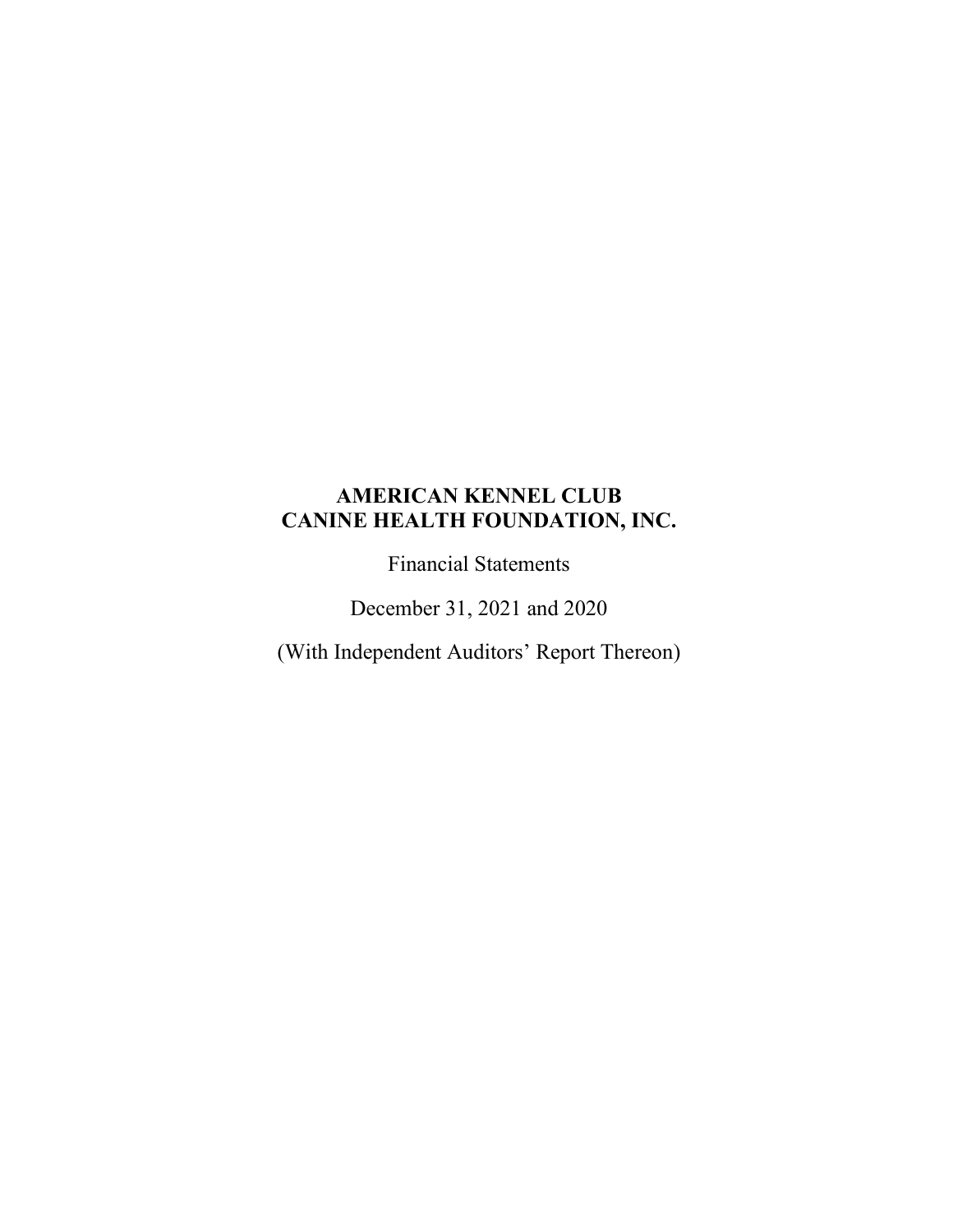Financial Statements

December 31, 2021 and 2020

(With Independent Auditors' Report Thereon)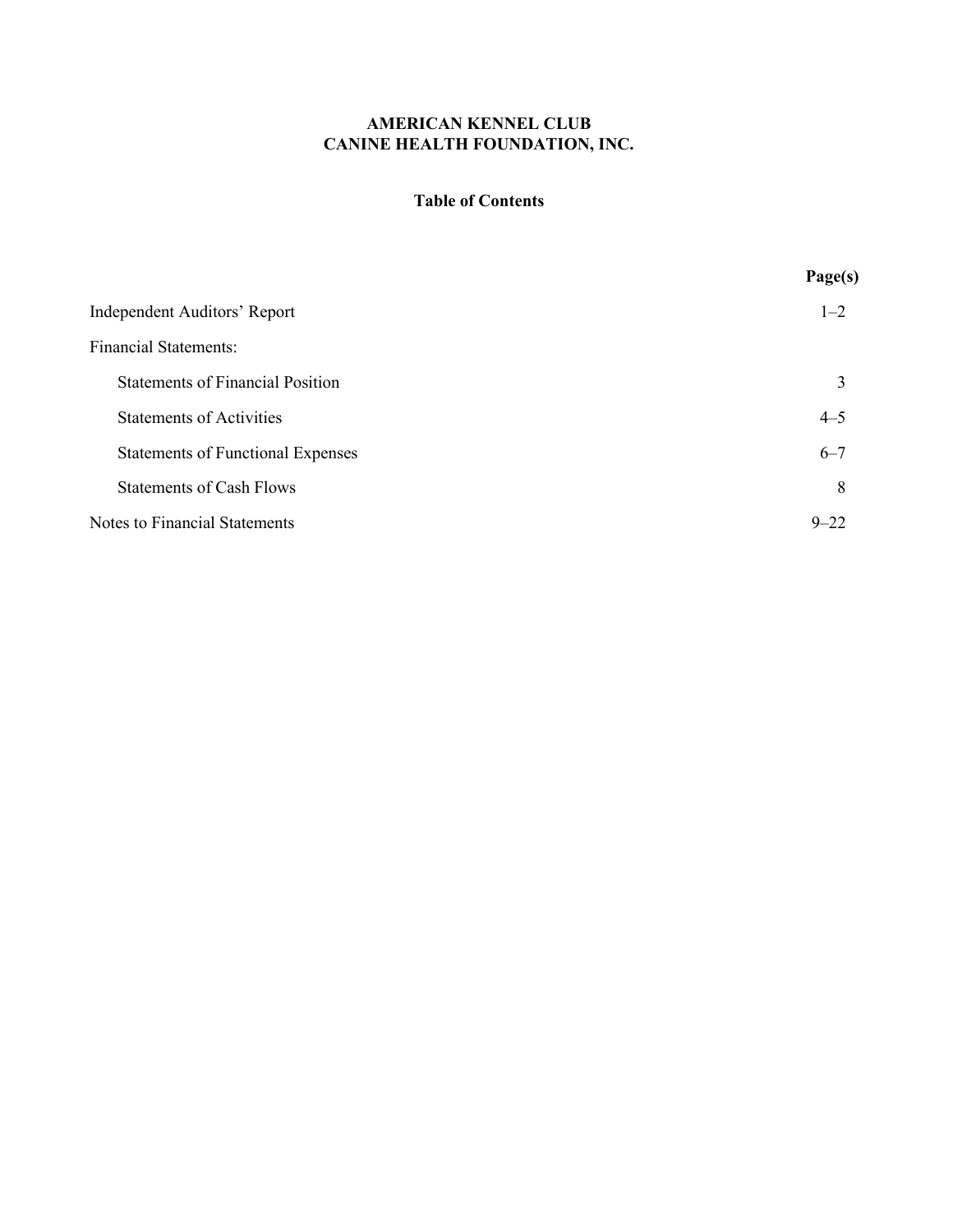### **Table of Contents**

|                                          | Page(s)  |
|------------------------------------------|----------|
| <b>Independent Auditors' Report</b>      | $1 - 2$  |
| <b>Financial Statements:</b>             |          |
| <b>Statements of Financial Position</b>  | 3        |
| <b>Statements of Activities</b>          | $4 - 5$  |
| <b>Statements of Functional Expenses</b> | $6 - 7$  |
| <b>Statements of Cash Flows</b>          | 8        |
| <b>Notes to Financial Statements</b>     | $9 - 22$ |
|                                          |          |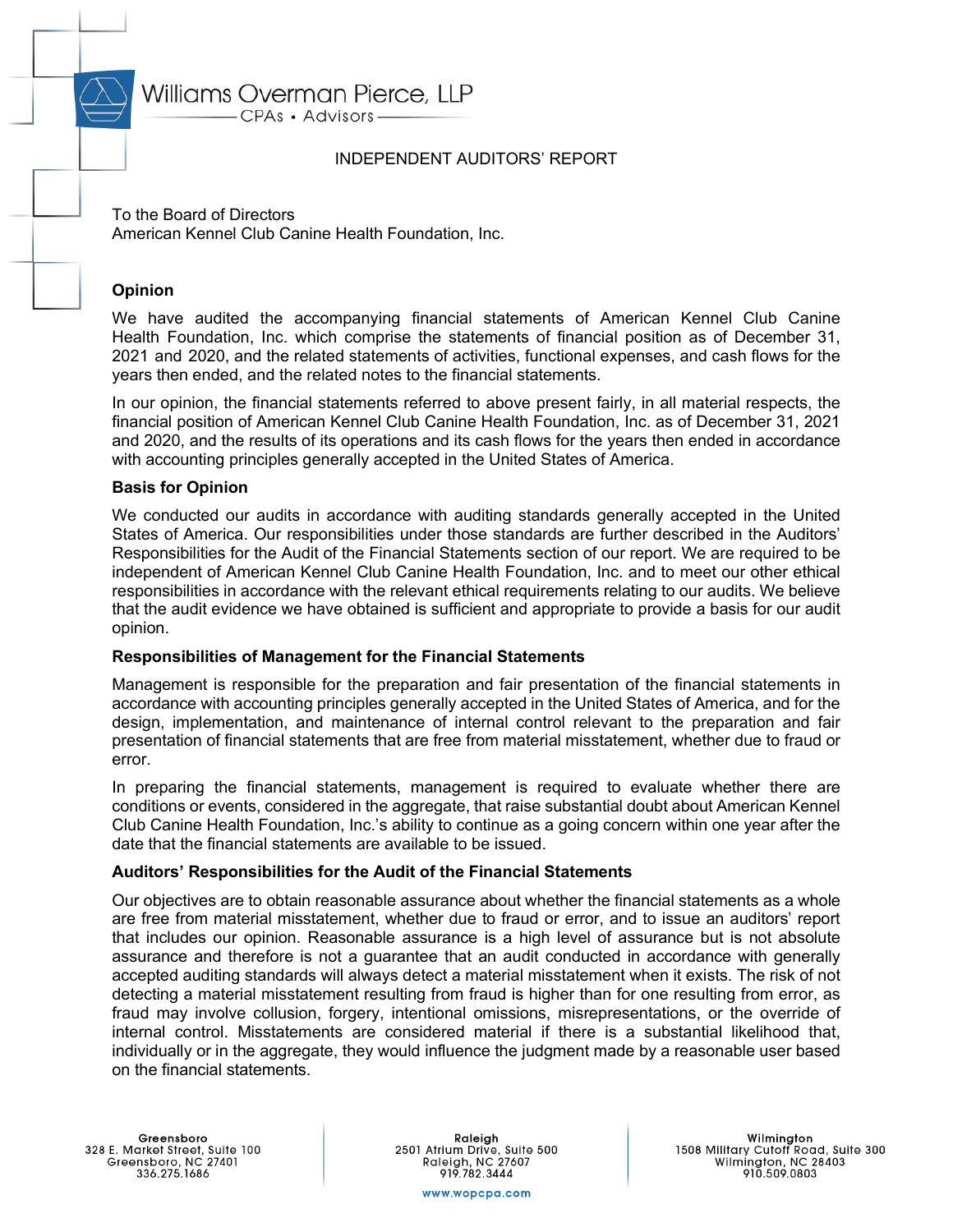# Williams Overman Pierce, LLP

CPAs · Advisors-

### INDEPENDENT AUDITORS' REPORT

To the Board of Directors American Kennel Club Canine Health Foundation, Inc.

### **Opinion**

We have audited the accompanying financial statements of American Kennel Club Canine Health Foundation, Inc. which comprise the statements of financial position as of December 31, 2021 and 2020, and the related statements of activities, functional expenses, and cash flows for the years then ended, and the related notes to the financial statements.

In our opinion, the financial statements referred to above present fairly, in all material respects, the financial position of American Kennel Club Canine Health Foundation, Inc. as of December 31, 2021 and 2020, and the results of its operations and its cash flows for the years then ended in accordance with accounting principles generally accepted in the United States of America.

### **Basis for Opinion**

We conducted our audits in accordance with auditing standards generally accepted in the United States of America. Our responsibilities under those standards are further described in the Auditors' Responsibilities for the Audit of the Financial Statements section of our report. We are required to be independent of American Kennel Club Canine Health Foundation, Inc. and to meet our other ethical responsibilities in accordance with the relevant ethical requirements relating to our audits. We believe that the audit evidence we have obtained is sufficient and appropriate to provide a basis for our audit opinion.

### **Responsibilities of Management for the Financial Statements**

Management is responsible for the preparation and fair presentation of the financial statements in accordance with accounting principles generally accepted in the United States of America, and for the design, implementation, and maintenance of internal control relevant to the preparation and fair presentation of financial statements that are free from material misstatement, whether due to fraud or error.

In preparing the financial statements, management is required to evaluate whether there are conditions or events, considered in the aggregate, that raise substantial doubt about American Kennel Club Canine Health Foundation, Inc.'s ability to continue as a going concern within one year after the date that the financial statements are available to be issued.

#### **Auditors' Responsibilities for the Audit of the Financial Statements**

Our objectives are to obtain reasonable assurance about whether the financial statements as a whole are free from material misstatement, whether due to fraud or error, and to issue an auditors' report that includes our opinion. Reasonable assurance is a high level of assurance but is not absolute assurance and therefore is not a guarantee that an audit conducted in accordance with generally accepted auditing standards will always detect a material misstatement when it exists. The risk of not detecting a material misstatement resulting from fraud is higher than for one resulting from error, as fraud may involve collusion, forgery, intentional omissions, misrepresentations, or the override of internal control. Misstatements are considered material if there is a substantial likelihood that, individually or in the aggregate, they would influence the judgment made by a reasonable user based on the financial statements.

Raleigh 2501 Atrium Drive, Suite 500<br>Raleigh, NC 27607 919.782.3444

Wilmington<br>1508 Military Cutoff Road, Suite 300<br>Wilmington, NC 28403 910.509.0803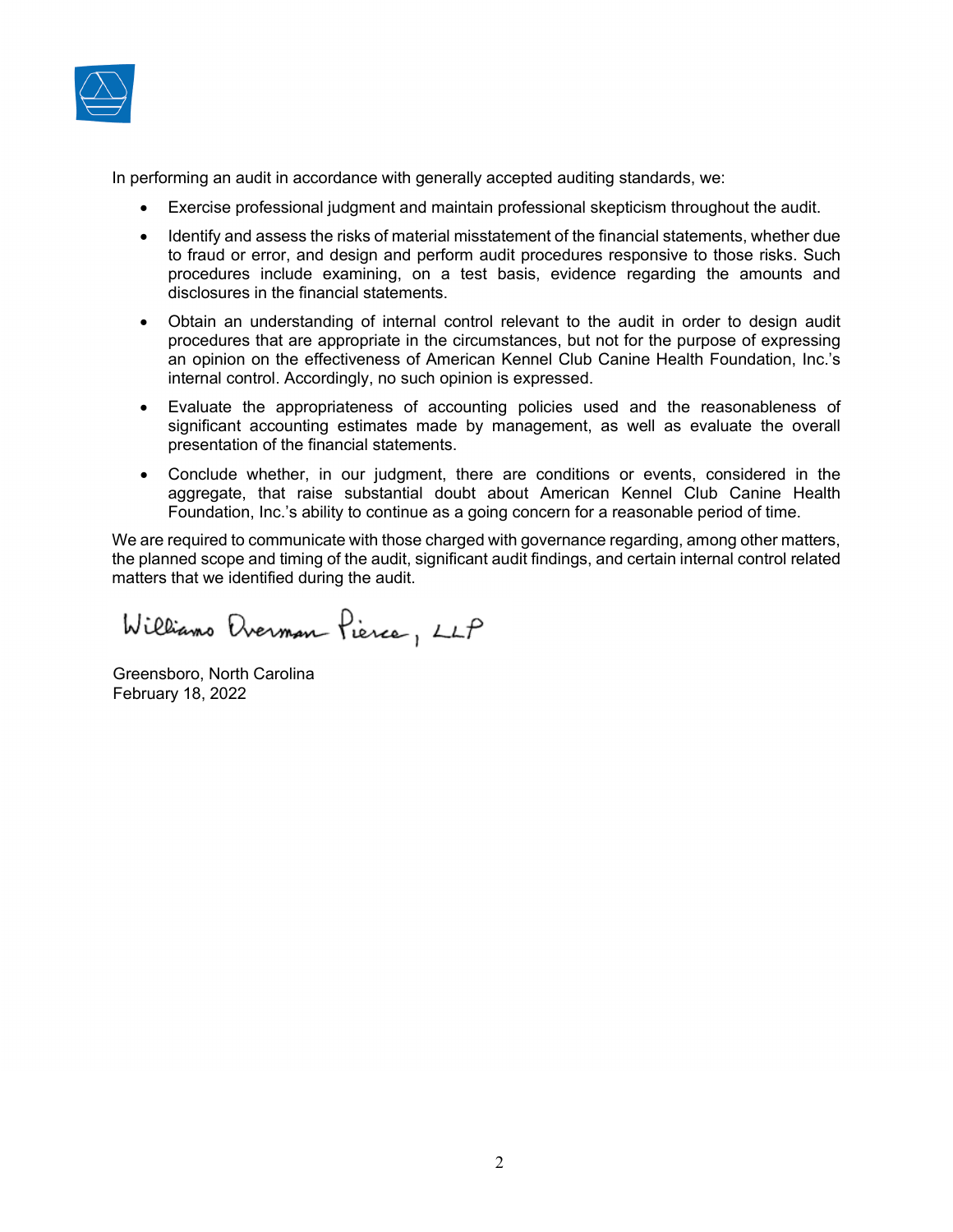

In performing an audit in accordance with generally accepted auditing standards, we:

- Exercise professional judgment and maintain professional skepticism throughout the audit.
- Identify and assess the risks of material misstatement of the financial statements, whether due to fraud or error, and design and perform audit procedures responsive to those risks. Such procedures include examining, on a test basis, evidence regarding the amounts and disclosures in the financial statements.
- Obtain an understanding of internal control relevant to the audit in order to design audit procedures that are appropriate in the circumstances, but not for the purpose of expressing an opinion on the effectiveness of American Kennel Club Canine Health Foundation, Inc.'s internal control. Accordingly, no such opinion is expressed.
- Evaluate the appropriateness of accounting policies used and the reasonableness of significant accounting estimates made by management, as well as evaluate the overall presentation of the financial statements.
- Conclude whether, in our judgment, there are conditions or events, considered in the aggregate, that raise substantial doubt about American Kennel Club Canine Health Foundation, Inc.'s ability to continue as a going concern for a reasonable period of time.

We are required to communicate with those charged with governance regarding, among other matters, the planned scope and timing of the audit, significant audit findings, and certain internal control related matters that we identified during the audit.

Williams Everman Pierce, LLP

Greensboro, North Carolina February 18, 2022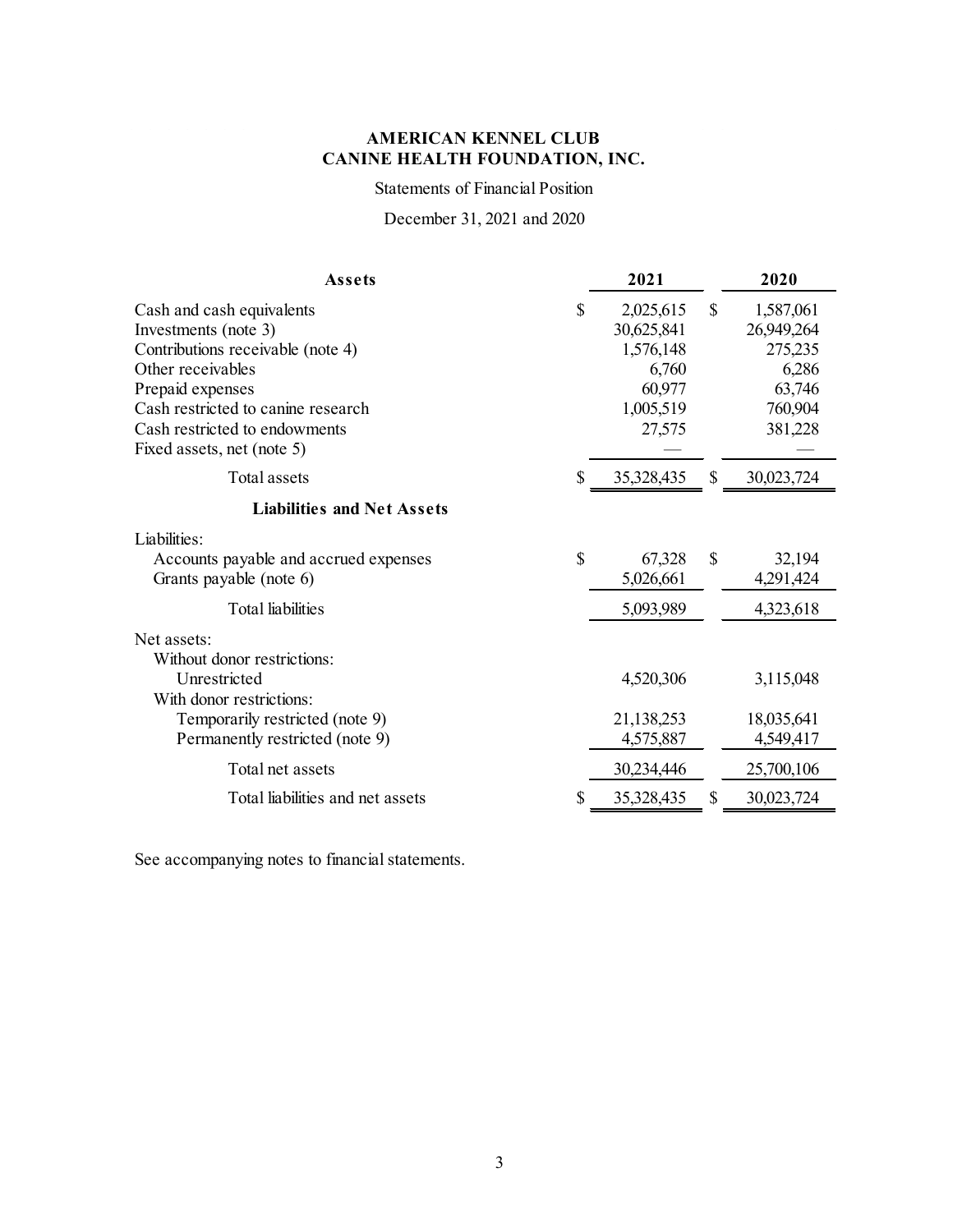Statements of Financial Position

December 31, 2021 and 2020

| Assets                                                                                                                                                                                                                               | 2021                                                                                 |              | 2020                                                                        |
|--------------------------------------------------------------------------------------------------------------------------------------------------------------------------------------------------------------------------------------|--------------------------------------------------------------------------------------|--------------|-----------------------------------------------------------------------------|
| Cash and cash equivalents<br>Investments (note 3)<br>Contributions receivable (note 4)<br>Other receivables<br>Prepaid expenses<br>Cash restricted to canine research<br>Cash restricted to endowments<br>Fixed assets, net (note 5) | \$<br>2,025,615<br>30,625,841<br>1,576,148<br>6,760<br>60,977<br>1,005,519<br>27,575 | $\mathbb{S}$ | 1,587,061<br>26,949,264<br>275,235<br>6,286<br>63,746<br>760,904<br>381,228 |
| Total assets                                                                                                                                                                                                                         | \$<br>35,328,435                                                                     | \$           | 30,023,724                                                                  |
| <b>Liabilities and Net Assets</b>                                                                                                                                                                                                    |                                                                                      |              |                                                                             |
| Liabilities:<br>Accounts payable and accrued expenses<br>Grants payable (note 6)                                                                                                                                                     | \$<br>67,328<br>5,026,661                                                            | \$           | 32,194<br>4,291,424                                                         |
| <b>Total</b> liabilities                                                                                                                                                                                                             | 5,093,989                                                                            |              | 4,323,618                                                                   |
| Net assets:<br>Without donor restrictions:<br>Unrestricted<br>With donor restrictions:<br>Temporarily restricted (note 9)<br>Permanently restricted (note 9)                                                                         | 4,520,306<br>21,138,253<br>4,575,887                                                 |              | 3,115,048<br>18,035,641<br>4,549,417                                        |
| Total net assets                                                                                                                                                                                                                     | 30,234,446                                                                           |              | 25,700,106                                                                  |
| Total liabilities and net assets                                                                                                                                                                                                     | \$<br>35,328,435                                                                     | \$           | 30,023,724                                                                  |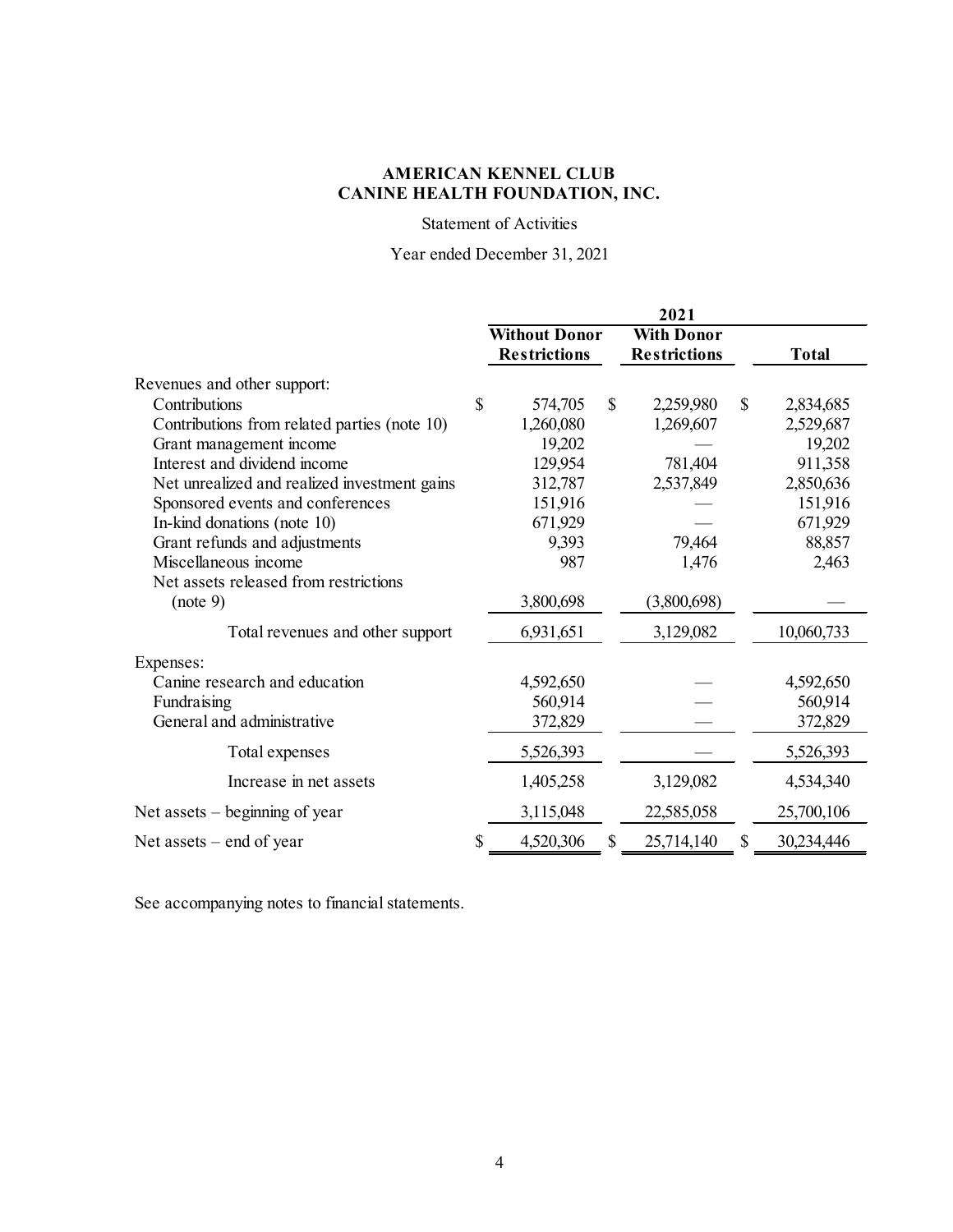### Statement of Activities

## Year ended December 31, 2021

|                                              |              |                      |               | 2021                |                  |
|----------------------------------------------|--------------|----------------------|---------------|---------------------|------------------|
|                                              |              | <b>Without Donor</b> |               | <b>With Donor</b>   |                  |
|                                              |              | <b>Restrictions</b>  |               | <b>Restrictions</b> | <b>Total</b>     |
| Revenues and other support:                  |              |                      |               |                     |                  |
| Contributions                                | $\mathbb{S}$ | 574,705              | $\mathcal{S}$ | 2,259,980           | \$<br>2,834,685  |
| Contributions from related parties (note 10) |              | 1,260,080            |               | 1,269,607           | 2,529,687        |
| Grant management income                      |              | 19,202               |               |                     | 19,202           |
| Interest and dividend income                 |              | 129,954              |               | 781,404             | 911,358          |
| Net unrealized and realized investment gains |              | 312,787              |               | 2,537,849           | 2,850,636        |
| Sponsored events and conferences             |              | 151,916              |               |                     | 151,916          |
| In-kind donations (note 10)                  |              | 671,929              |               |                     | 671,929          |
| Grant refunds and adjustments                |              | 9,393                |               | 79,464              | 88,857           |
| Miscellaneous income                         |              | 987                  |               | 1,476               | 2,463            |
| Net assets released from restrictions        |              |                      |               |                     |                  |
| (note 9)                                     |              | 3,800,698            |               | (3,800,698)         |                  |
| Total revenues and other support             |              | 6,931,651            |               | 3,129,082           | 10,060,733       |
| Expenses:                                    |              |                      |               |                     |                  |
| Canine research and education                |              | 4,592,650            |               |                     | 4,592,650        |
| Fundraising                                  |              | 560,914              |               |                     | 560,914          |
| General and administrative                   |              | 372,829              |               |                     | 372,829          |
| Total expenses                               |              | 5,526,393            |               |                     | 5,526,393        |
| Increase in net assets                       |              | 1,405,258            |               | 3,129,082           | 4,534,340        |
| Net assets $-$ beginning of year             |              | 3,115,048            |               | 22,585,058          | 25,700,106       |
| Net assets $-$ end of year                   | \$           | 4,520,306            | \$            | 25,714,140          | \$<br>30,234,446 |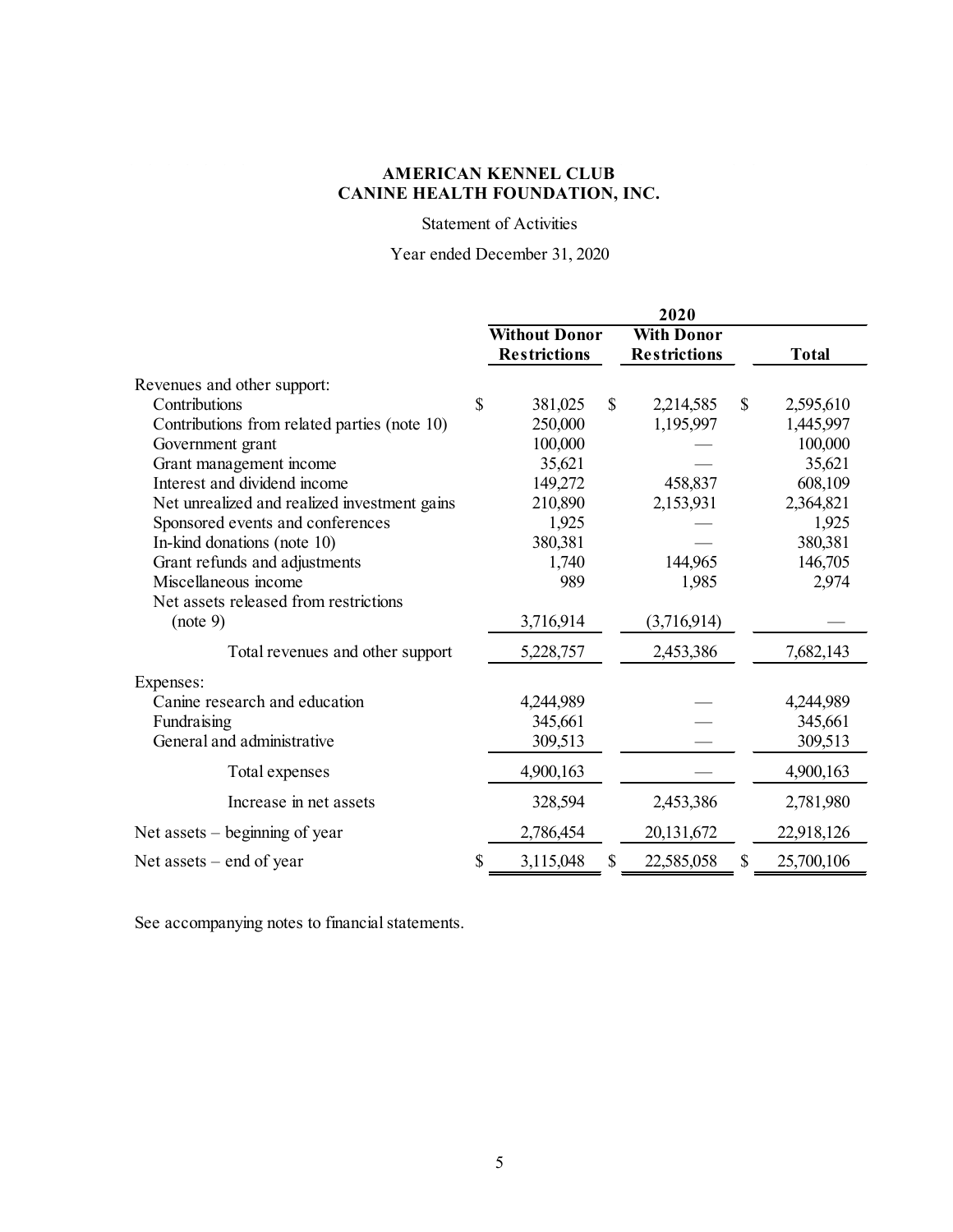### Statement of Activities

## Year ended December 31, 2020

|                                              |    |                      |               | 2020                |               |              |
|----------------------------------------------|----|----------------------|---------------|---------------------|---------------|--------------|
|                                              |    | <b>Without Donor</b> |               | <b>With Donor</b>   |               |              |
|                                              |    | <b>Restrictions</b>  |               | <b>Restrictions</b> |               | <b>Total</b> |
| Revenues and other support:                  |    |                      |               |                     |               |              |
| Contributions                                | \$ | 381,025              | $\mathcal{S}$ | 2,214,585           | $\mathcal{S}$ | 2,595,610    |
| Contributions from related parties (note 10) |    | 250,000              |               | 1,195,997           |               | 1,445,997    |
| Government grant                             |    | 100,000              |               |                     |               | 100,000      |
| Grant management income                      |    | 35,621               |               |                     |               | 35,621       |
| Interest and dividend income                 |    | 149,272              |               | 458,837             |               | 608,109      |
| Net unrealized and realized investment gains |    | 210,890              |               | 2,153,931           |               | 2,364,821    |
| Sponsored events and conferences             |    | 1,925                |               |                     |               | 1,925        |
| In-kind donations (note 10)                  |    | 380,381              |               |                     |               | 380,381      |
| Grant refunds and adjustments                |    | 1,740                |               | 144,965             |               | 146,705      |
| Miscellaneous income                         |    | 989                  |               | 1,985               |               | 2,974        |
| Net assets released from restrictions        |    |                      |               |                     |               |              |
| (note 9)                                     |    | 3,716,914            |               | (3,716,914)         |               |              |
| Total revenues and other support             |    | 5,228,757            |               | 2,453,386           |               | 7,682,143    |
| Expenses:                                    |    |                      |               |                     |               |              |
| Canine research and education                |    | 4,244,989            |               |                     |               | 4,244,989    |
| Fundraising                                  |    | 345,661              |               |                     |               | 345,661      |
| General and administrative                   |    | 309,513              |               |                     |               | 309,513      |
| Total expenses                               |    | 4,900,163            |               |                     |               | 4,900,163    |
| Increase in net assets                       |    | 328,594              |               | 2,453,386           |               | 2,781,980    |
| Net assets $-$ beginning of year             |    | 2,786,454            |               | 20,131,672          |               | 22,918,126   |
| Net assets $-$ end of year                   | S  | 3,115,048            | \$            | 22,585,058          | $\mathbb{S}$  | 25,700,106   |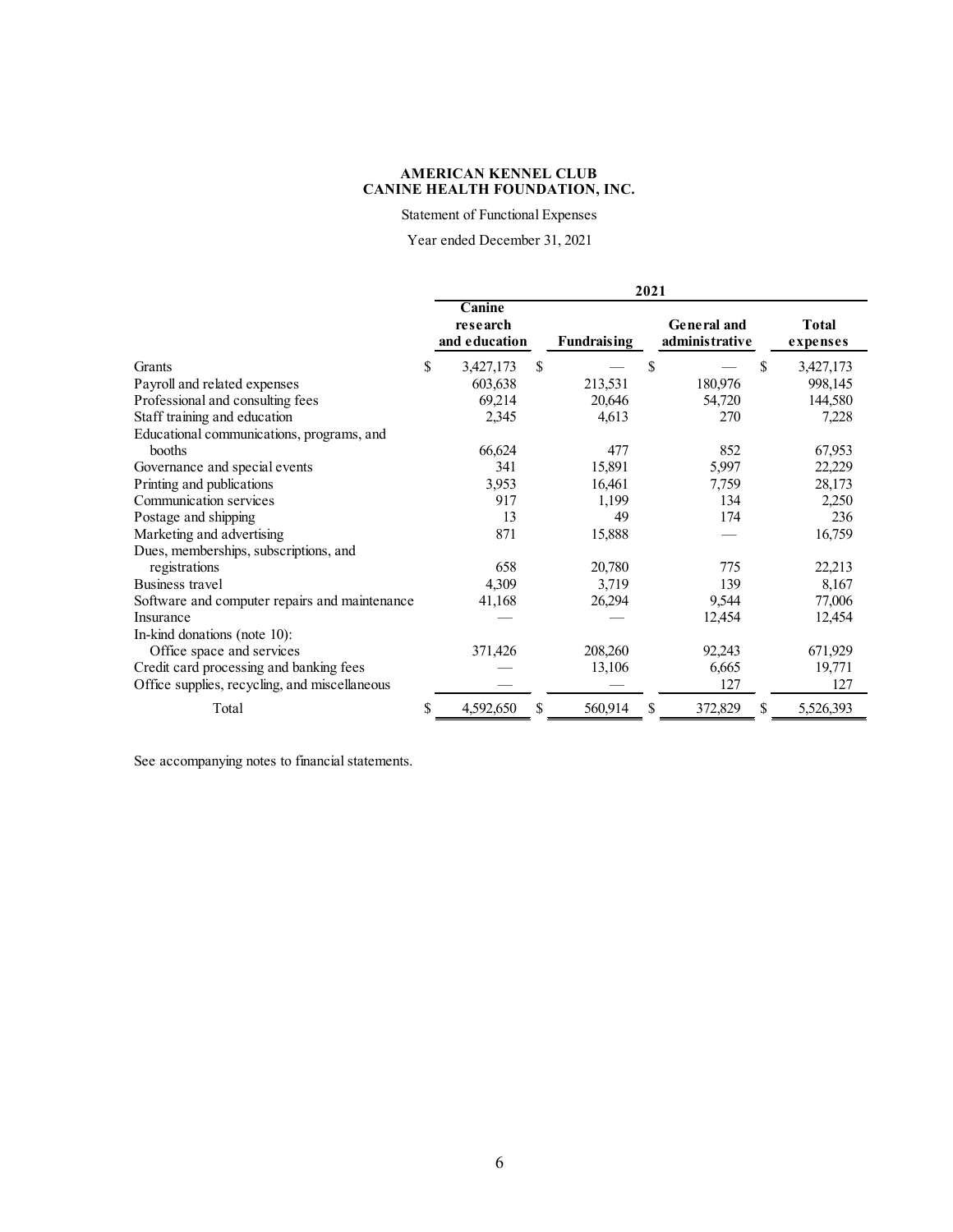Statement of Functional Expenses

Year ended December 31, 2021

|                                               | 2021 |                                     |    |                    |               |                               |    |                   |  |  |
|-----------------------------------------------|------|-------------------------------------|----|--------------------|---------------|-------------------------------|----|-------------------|--|--|
|                                               |      | Canine<br>research<br>and education |    | <b>Fundraising</b> |               | General and<br>administrative |    | Total<br>expenses |  |  |
| Grants                                        | \$   | 3,427,173                           | \$ |                    | <sup>\$</sup> |                               | \$ | 3,427,173         |  |  |
| Payroll and related expenses                  |      | 603,638                             |    | 213,531            |               | 180,976                       |    | 998,145           |  |  |
| Professional and consulting fees              |      | 69,214                              |    | 20,646             |               | 54,720                        |    | 144,580           |  |  |
| Staff training and education                  |      | 2,345                               |    | 4,613              |               | 270                           |    | 7,228             |  |  |
| Educational communications, programs, and     |      |                                     |    |                    |               |                               |    |                   |  |  |
| booths                                        |      | 66,624                              |    | 477                |               | 852                           |    | 67,953            |  |  |
| Governance and special events                 |      | 341                                 |    | 15,891             |               | 5,997                         |    | 22,229            |  |  |
| Printing and publications                     |      | 3,953                               |    | 16,461             |               | 7,759                         |    | 28,173            |  |  |
| Communication services                        |      | 917                                 |    | 1,199              |               | 134                           |    | 2,250             |  |  |
| Postage and shipping                          |      | 13                                  |    | 49                 |               | 174                           |    | 236               |  |  |
| Marketing and advertising                     |      | 871                                 |    | 15,888             |               |                               |    | 16,759            |  |  |
| Dues, memberships, subscriptions, and         |      |                                     |    |                    |               |                               |    |                   |  |  |
| registrations                                 |      | 658                                 |    | 20,780             |               | 775                           |    | 22,213            |  |  |
| Business travel                               |      | 4,309                               |    | 3,719              |               | 139                           |    | 8,167             |  |  |
| Software and computer repairs and maintenance |      | 41,168                              |    | 26,294             |               | 9,544                         |    | 77,006            |  |  |
| Insurance                                     |      |                                     |    |                    |               | 12,454                        |    | 12,454            |  |  |
| In-kind donations (note 10):                  |      |                                     |    |                    |               |                               |    |                   |  |  |
| Office space and services                     |      | 371,426                             |    | 208,260            |               | 92,243                        |    | 671,929           |  |  |
| Credit card processing and banking fees       |      |                                     |    | 13,106             |               | 6,665                         |    | 19,771            |  |  |
| Office supplies, recycling, and miscellaneous |      |                                     |    |                    |               | 127                           |    | 127               |  |  |
| Total                                         | \$   | 4,592,650                           | S  | 560,914            | \$            | 372,829                       | \$ | 5,526,393         |  |  |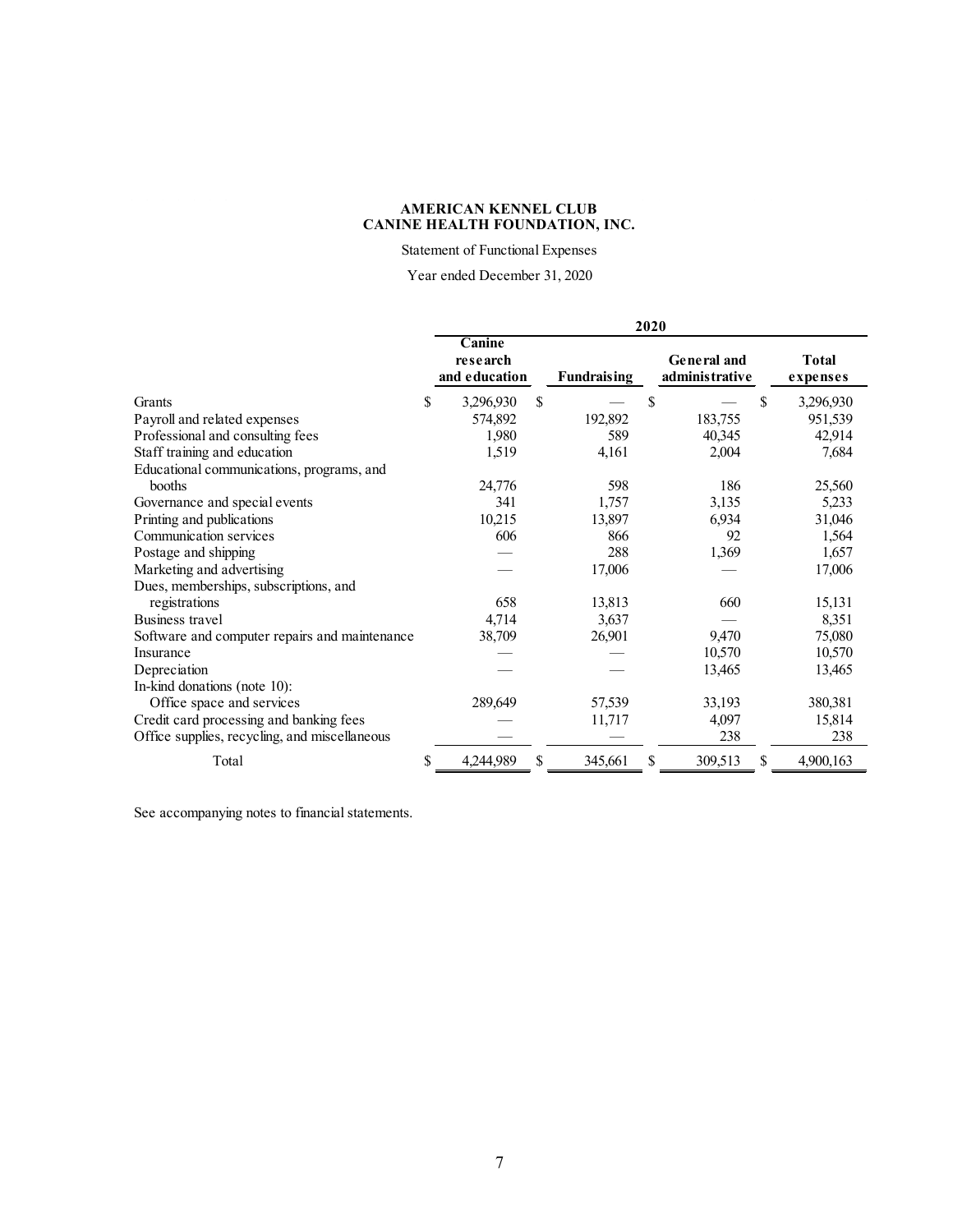Statement of Functional Expenses

Year ended December 31, 2020

|                                               | 2020 |                                     |    |                    |    |                               |                          |  |  |
|-----------------------------------------------|------|-------------------------------------|----|--------------------|----|-------------------------------|--------------------------|--|--|
|                                               |      | Canine<br>research<br>and education |    | <b>Fundraising</b> |    | General and<br>administrative | <b>Total</b><br>expenses |  |  |
| Grants                                        | \$   | 3,296,930                           | \$ |                    | \$ | \$                            | 3,296,930                |  |  |
| Payroll and related expenses                  |      | 574,892                             |    | 192,892            |    | 183,755                       | 951,539                  |  |  |
| Professional and consulting fees              |      | 1,980                               |    | 589                |    | 40,345                        | 42,914                   |  |  |
| Staff training and education                  |      | 1,519                               |    | 4,161              |    | 2,004                         | 7,684                    |  |  |
| Educational communications, programs, and     |      |                                     |    |                    |    |                               |                          |  |  |
| booths                                        |      | 24,776                              |    | 598                |    | 186                           | 25,560                   |  |  |
| Governance and special events                 |      | 341                                 |    | 1,757              |    | 3,135                         | 5,233                    |  |  |
| Printing and publications                     |      | 10,215                              |    | 13,897             |    | 6,934                         | 31,046                   |  |  |
| Communication services                        |      | 606                                 |    | 866                |    | 92                            | 1,564                    |  |  |
| Postage and shipping                          |      |                                     |    | 288                |    | 1,369                         | 1,657                    |  |  |
| Marketing and advertising                     |      |                                     |    | 17,006             |    |                               | 17,006                   |  |  |
| Dues, memberships, subscriptions, and         |      |                                     |    |                    |    |                               |                          |  |  |
| registrations                                 |      | 658                                 |    | 13,813             |    | 660                           | 15,131                   |  |  |
| Business travel                               |      | 4,714                               |    | 3,637              |    |                               | 8,351                    |  |  |
| Software and computer repairs and maintenance |      | 38,709                              |    | 26,901             |    | 9,470                         | 75,080                   |  |  |
| Insurance                                     |      |                                     |    |                    |    | 10,570                        | 10,570                   |  |  |
| Depreciation                                  |      |                                     |    |                    |    | 13,465                        | 13,465                   |  |  |
| In-kind donations (note 10):                  |      |                                     |    |                    |    |                               |                          |  |  |
| Office space and services                     |      | 289,649                             |    | 57,539             |    | 33,193                        | 380,381                  |  |  |
| Credit card processing and banking fees       |      |                                     |    | 11,717             |    | 4,097                         | 15,814                   |  |  |
| Office supplies, recycling, and miscellaneous |      |                                     |    |                    |    | 238                           | 238                      |  |  |
| Total                                         | \$   | 4,244,989                           | S  | 345,661            |    | 309,513<br>\$                 | 4,900,163                |  |  |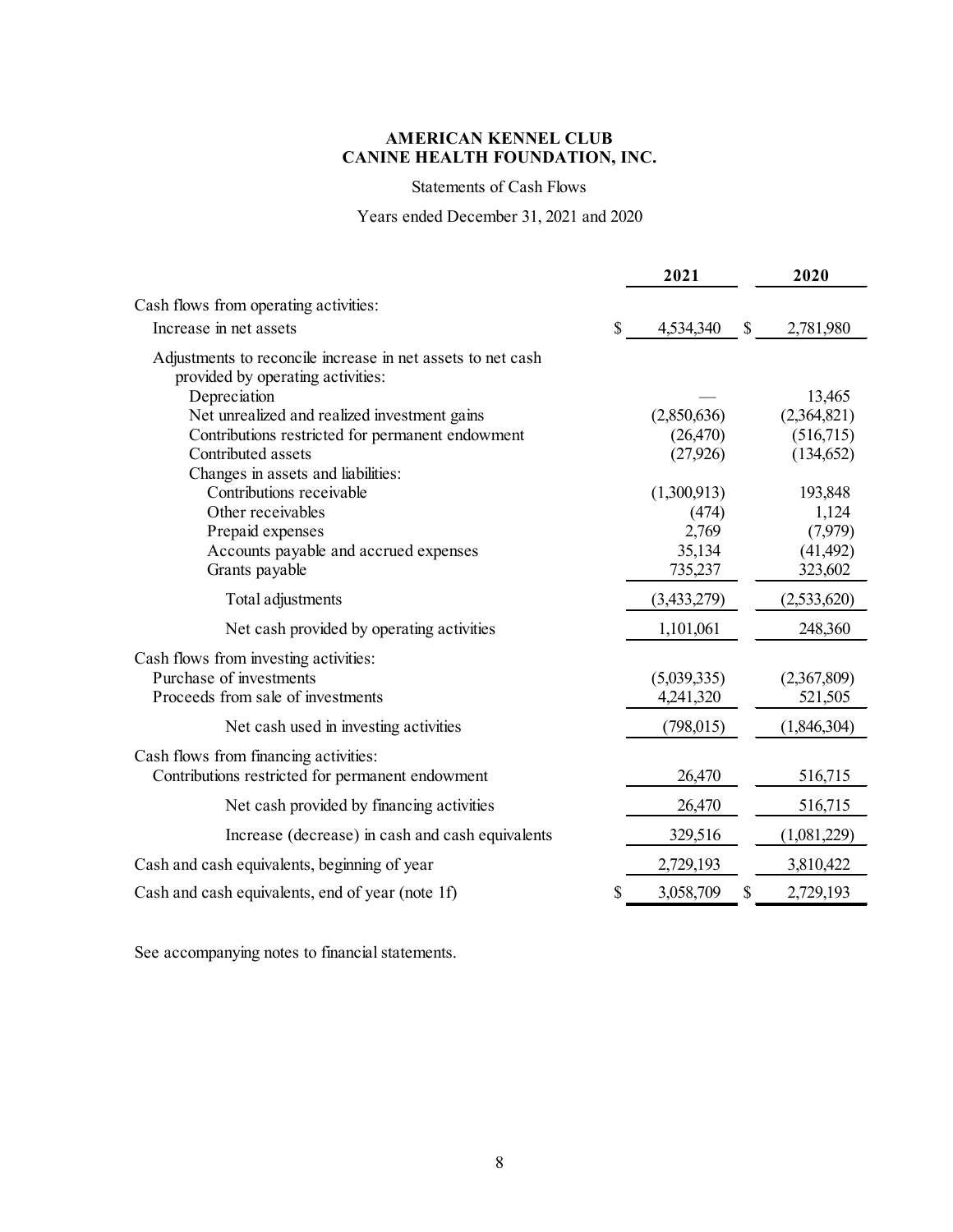### **CANINE HEALTH FOUNDATION, INC. AMERICAN KENNEL CLUB**

Statements of Cash Flows

Years ended December 31, 2021 and 2020

|                                                                                                  |              | 2021        | 2020            |
|--------------------------------------------------------------------------------------------------|--------------|-------------|-----------------|
| Cash flows from operating activities:                                                            |              |             |                 |
| Increase in net assets                                                                           | $\mathbb{S}$ | 4,534,340   | \$<br>2,781,980 |
| Adjustments to reconcile increase in net assets to net cash<br>provided by operating activities: |              |             |                 |
| Depreciation                                                                                     |              |             | 13,465          |
| Net unrealized and realized investment gains                                                     |              | (2,850,636) | (2,364,821)     |
| Contributions restricted for permanent endowment                                                 |              | (26, 470)   | (516,715)       |
| Contributed assets                                                                               |              | (27, 926)   | (134, 652)      |
| Changes in assets and liabilities:                                                               |              |             |                 |
| Contributions receivable                                                                         |              | (1,300,913) | 193,848         |
| Other receivables                                                                                |              | (474)       | 1,124           |
| Prepaid expenses                                                                                 |              | 2,769       | (7,979)         |
| Accounts payable and accrued expenses                                                            |              | 35,134      | (41, 492)       |
| Grants payable                                                                                   |              | 735,237     | 323,602         |
| Total adjustments                                                                                |              | (3,433,279) | (2,533,620)     |
| Net cash provided by operating activities                                                        |              | 1,101,061   | 248,360         |
| Cash flows from investing activities:                                                            |              |             |                 |
| Purchase of investments                                                                          |              | (5,039,335) | (2,367,809)     |
| Proceeds from sale of investments                                                                |              | 4,241,320   | 521,505         |
| Net cash used in investing activities                                                            |              | (798, 015)  | (1,846,304)     |
|                                                                                                  |              |             |                 |
| Cash flows from financing activities:<br>Contributions restricted for permanent endowment        |              | 26,470      | 516,715         |
| Net cash provided by financing activities                                                        |              | 26,470      | 516,715         |
| Increase (decrease) in cash and cash equivalents                                                 |              | 329,516     | (1,081,229)     |
| Cash and cash equivalents, beginning of year                                                     |              | 2,729,193   | 3,810,422       |
| Cash and cash equivalents, end of year (note 1f)                                                 | \$           | 3,058,709   | \$<br>2,729,193 |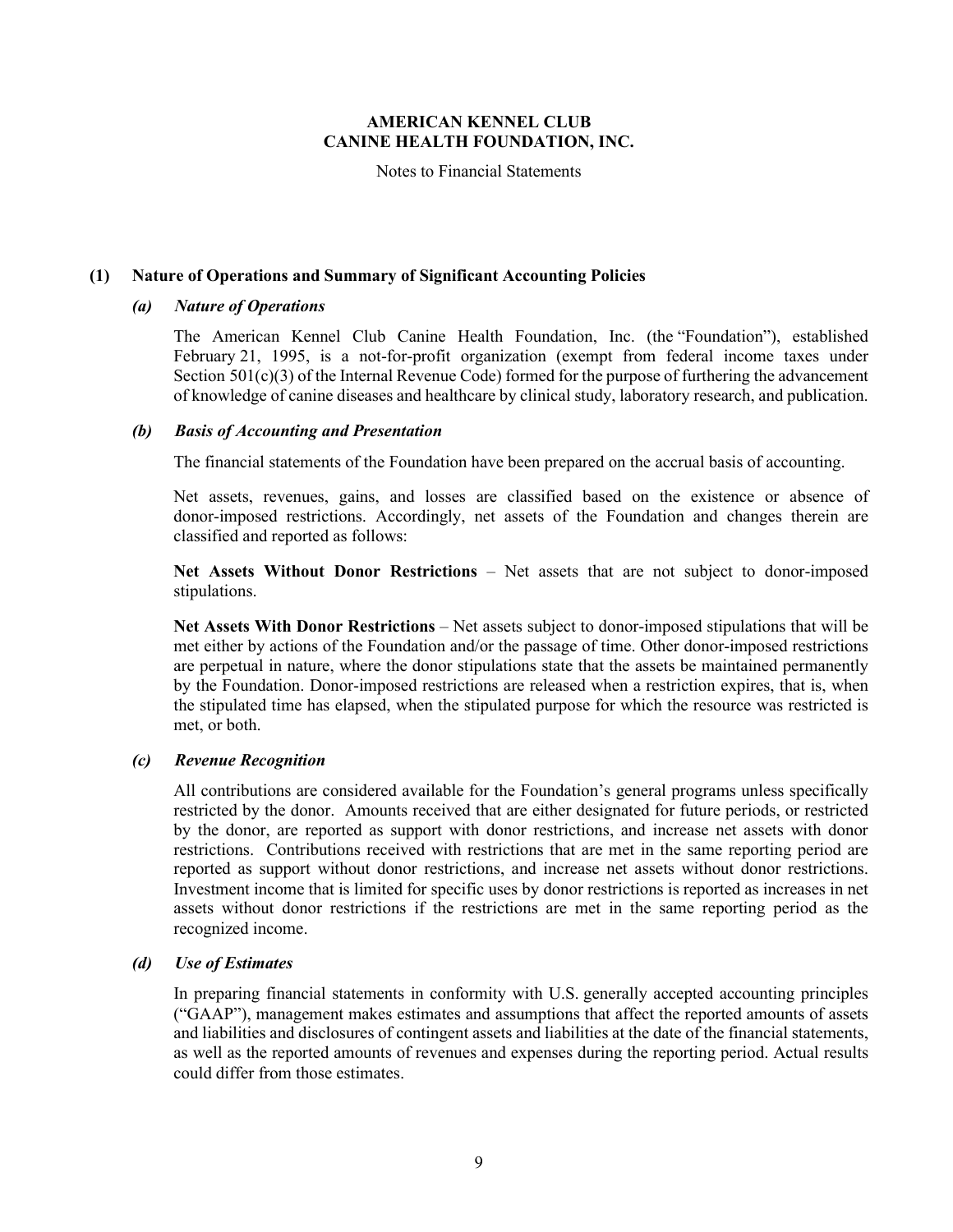Notes to Financial Statements

#### **(1) Nature of Operations and Summary of Significant Accounting Policies**

#### *(a) Nature of Operations*

The American Kennel Club Canine Health Foundation, Inc. (the "Foundation"), established February 21, 1995, is a not-for-profit organization (exempt from federal income taxes under Section 501(c)(3) of the Internal Revenue Code) formed for the purpose of furthering the advancement of knowledge of canine diseases and healthcare by clinical study, laboratory research, and publication.

#### *(b) Basis of Accounting and Presentation*

The financial statements of the Foundation have been prepared on the accrual basis of accounting.

Net assets, revenues, gains, and losses are classified based on the existence or absence of donor-imposed restrictions. Accordingly, net assets of the Foundation and changes therein are classified and reported as follows:

**Net Assets Without Donor Restrictions** – Net assets that are not subject to donor-imposed stipulations.

**Net Assets With Donor Restrictions** – Net assets subject to donor-imposed stipulations that will be met either by actions of the Foundation and/or the passage of time. Other donor-imposed restrictions are perpetual in nature, where the donor stipulations state that the assets be maintained permanently by the Foundation. Donor-imposed restrictions are released when a restriction expires, that is, when the stipulated time has elapsed, when the stipulated purpose for which the resource was restricted is met, or both.

### *(c) Revenue Recognition*

All contributions are considered available for the Foundation's general programs unless specifically restricted by the donor. Amounts received that are either designated for future periods, or restricted by the donor, are reported as support with donor restrictions, and increase net assets with donor restrictions. Contributions received with restrictions that are met in the same reporting period are reported as support without donor restrictions, and increase net assets without donor restrictions. Investment income that is limited for specific uses by donor restrictions is reported as increases in net assets without donor restrictions if the restrictions are met in the same reporting period as the recognized income.

### *(d) Use of Estimates*

In preparing financial statements in conformity with U.S. generally accepted accounting principles ("GAAP"), management makes estimates and assumptions that affect the reported amounts of assets and liabilities and disclosures of contingent assets and liabilities at the date of the financial statements, as well as the reported amounts of revenues and expenses during the reporting period. Actual results could differ from those estimates.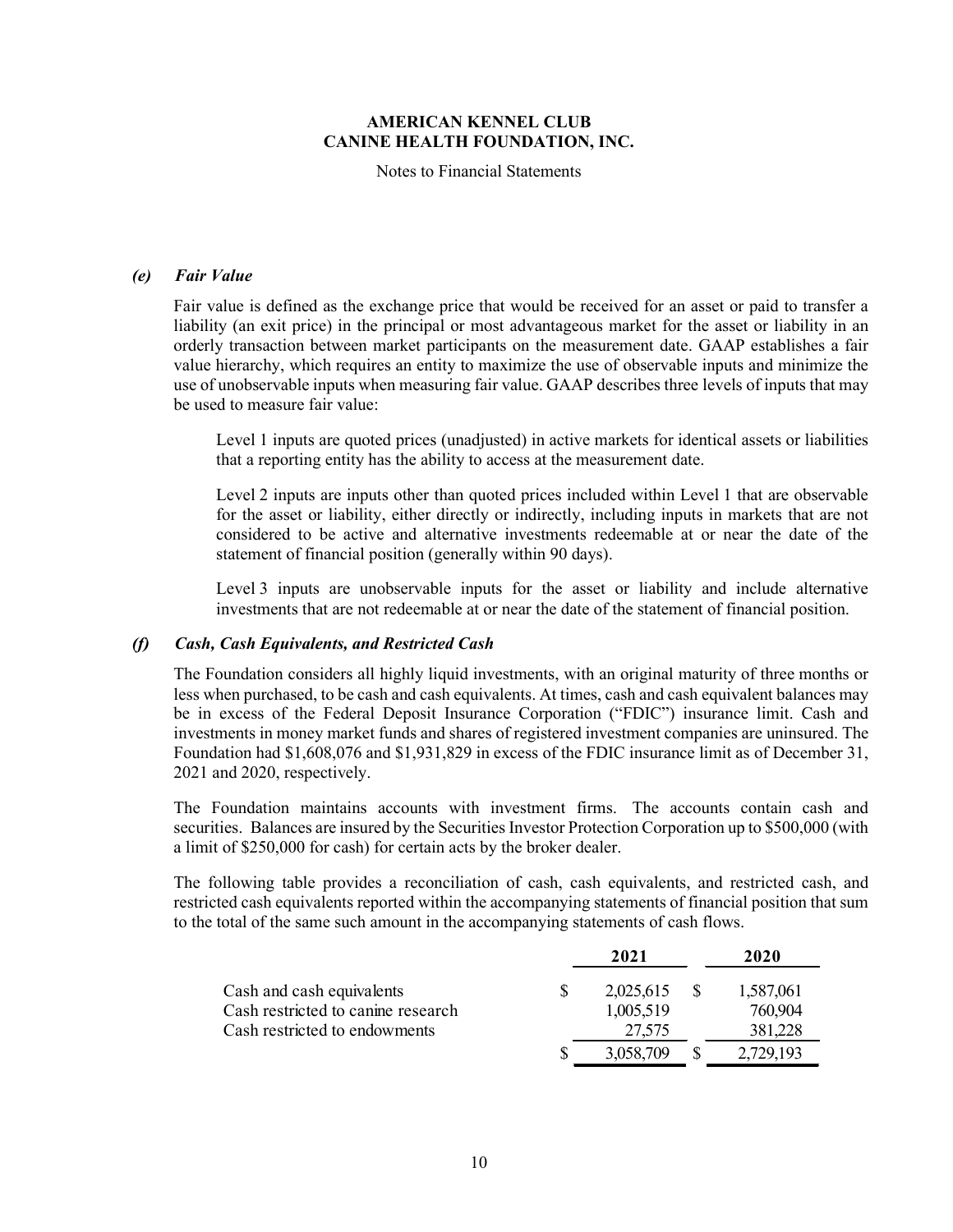Notes to Financial Statements

#### *(e) Fair Value*

Fair value is defined as the exchange price that would be received for an asset or paid to transfer a liability (an exit price) in the principal or most advantageous market for the asset or liability in an orderly transaction between market participants on the measurement date. GAAP establishes a fair value hierarchy, which requires an entity to maximize the use of observable inputs and minimize the use of unobservable inputs when measuring fair value. GAAP describes three levels of inputs that may be used to measure fair value:

Level 1 inputs are quoted prices (unadjusted) in active markets for identical assets or liabilities that a reporting entity has the ability to access at the measurement date.

Level 2 inputs are inputs other than quoted prices included within Level 1 that are observable for the asset or liability, either directly or indirectly, including inputs in markets that are not considered to be active and alternative investments redeemable at or near the date of the statement of financial position (generally within 90 days).

Level 3 inputs are unobservable inputs for the asset or liability and include alternative investments that are not redeemable at or near the date of the statement of financial position.

#### *(f) Cash, Cash Equivalents, and Restricted Cash*

The Foundation considers all highly liquid investments, with an original maturity of three months or less when purchased, to be cash and cash equivalents. At times, cash and cash equivalent balances may be in excess of the Federal Deposit Insurance Corporation ("FDIC") insurance limit. Cash and investments in money market funds and shares of registered investment companies are uninsured. The Foundation had \$1,608,076 and \$1,931,829 in excess of the FDIC insurance limit as of December 31, 2021 and 2020, respectively.

The Foundation maintains accounts with investment firms. The accounts contain cash and securities. Balances are insured by the Securities Investor Protection Corporation up to \$500,000 (with a limit of \$250,000 for cash) for certain acts by the broker dealer.

The following table provides a reconciliation of cash, cash equivalents, and restricted cash, and restricted cash equivalents reported within the accompanying statements of financial position that sum to the total of the same such amount in the accompanying statements of cash flows.

|                                    | 2021      | 2020      |
|------------------------------------|-----------|-----------|
| Cash and cash equivalents          | 2,025,615 | 1,587,061 |
| Cash restricted to canine research | 1,005,519 | 760,904   |
| Cash restricted to endowments      | 27,575    | 381,228   |
|                                    | 3,058,709 | 2,729,193 |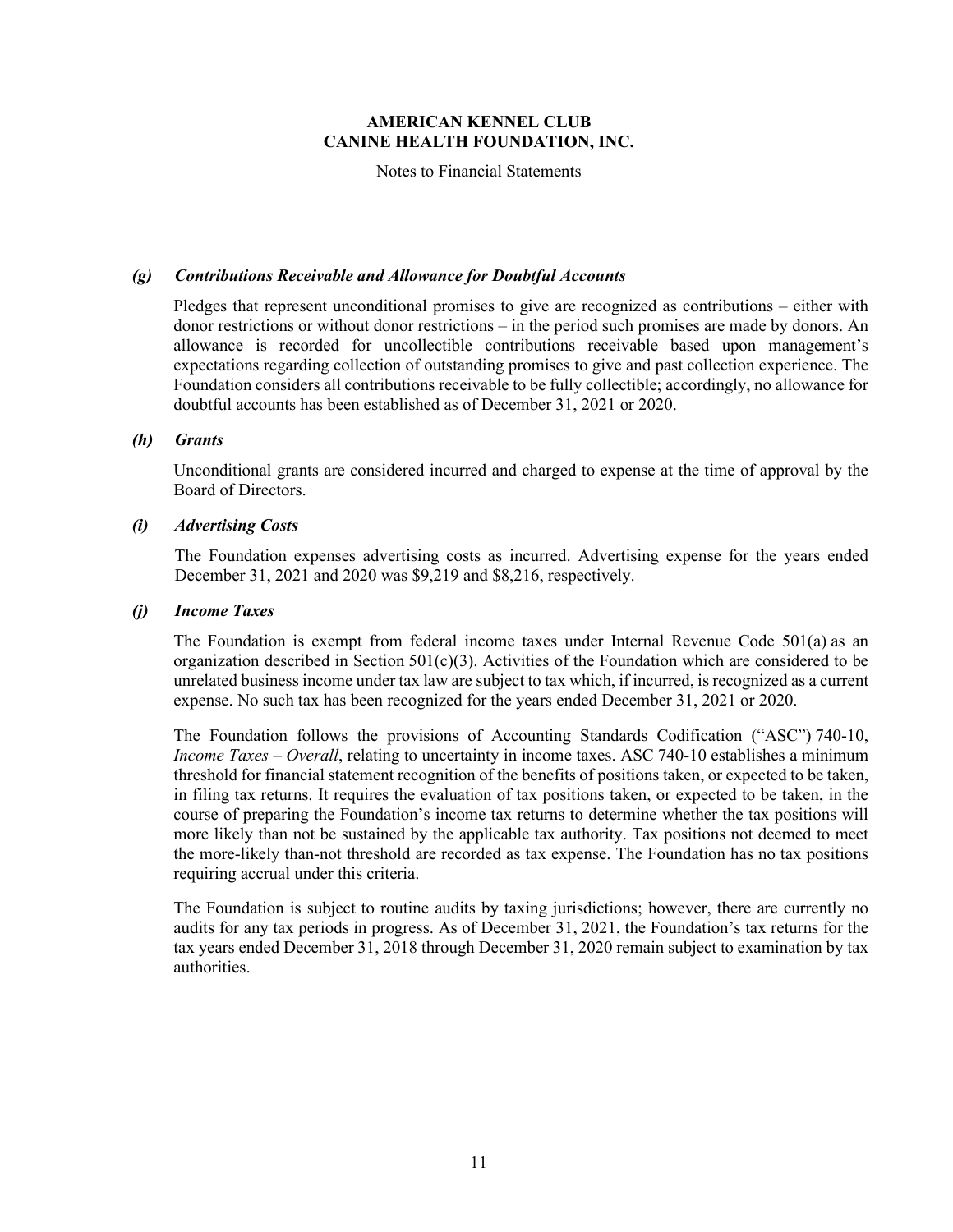Notes to Financial Statements

#### *(g) Contributions Receivable and Allowance for Doubtful Accounts*

Pledges that represent unconditional promises to give are recognized as contributions – either with donor restrictions or without donor restrictions – in the period such promises are made by donors. An allowance is recorded for uncollectible contributions receivable based upon management's expectations regarding collection of outstanding promises to give and past collection experience. The Foundation considers all contributions receivable to be fully collectible; accordingly, no allowance for doubtful accounts has been established as of December 31, 2021 or 2020.

#### *(h) Grants*

Unconditional grants are considered incurred and charged to expense at the time of approval by the Board of Directors.

#### *(i) Advertising Costs*

The Foundation expenses advertising costs as incurred. Advertising expense for the years ended December 31, 2021 and 2020 was \$9,219 and \$8,216, respectively.

#### *(j) Income Taxes*

The Foundation is exempt from federal income taxes under Internal Revenue Code 501(a) as an organization described in Section  $501(c)(3)$ . Activities of the Foundation which are considered to be unrelated business income under tax law are subject to tax which, if incurred, is recognized as a current expense. No such tax has been recognized for the years ended December 31, 2021 or 2020.

The Foundation follows the provisions of Accounting Standards Codification ("ASC") 740-10, *Income Taxes – Overall*, relating to uncertainty in income taxes. ASC 740-10 establishes a minimum threshold for financial statement recognition of the benefits of positions taken, or expected to be taken, in filing tax returns. It requires the evaluation of tax positions taken, or expected to be taken, in the course of preparing the Foundation's income tax returns to determine whether the tax positions will more likely than not be sustained by the applicable tax authority. Tax positions not deemed to meet the more-likely than-not threshold are recorded as tax expense. The Foundation has no tax positions requiring accrual under this criteria.

The Foundation is subject to routine audits by taxing jurisdictions; however, there are currently no audits for any tax periods in progress. As of December 31, 2021, the Foundation's tax returns for the tax years ended December 31, 2018 through December 31, 2020 remain subject to examination by tax authorities.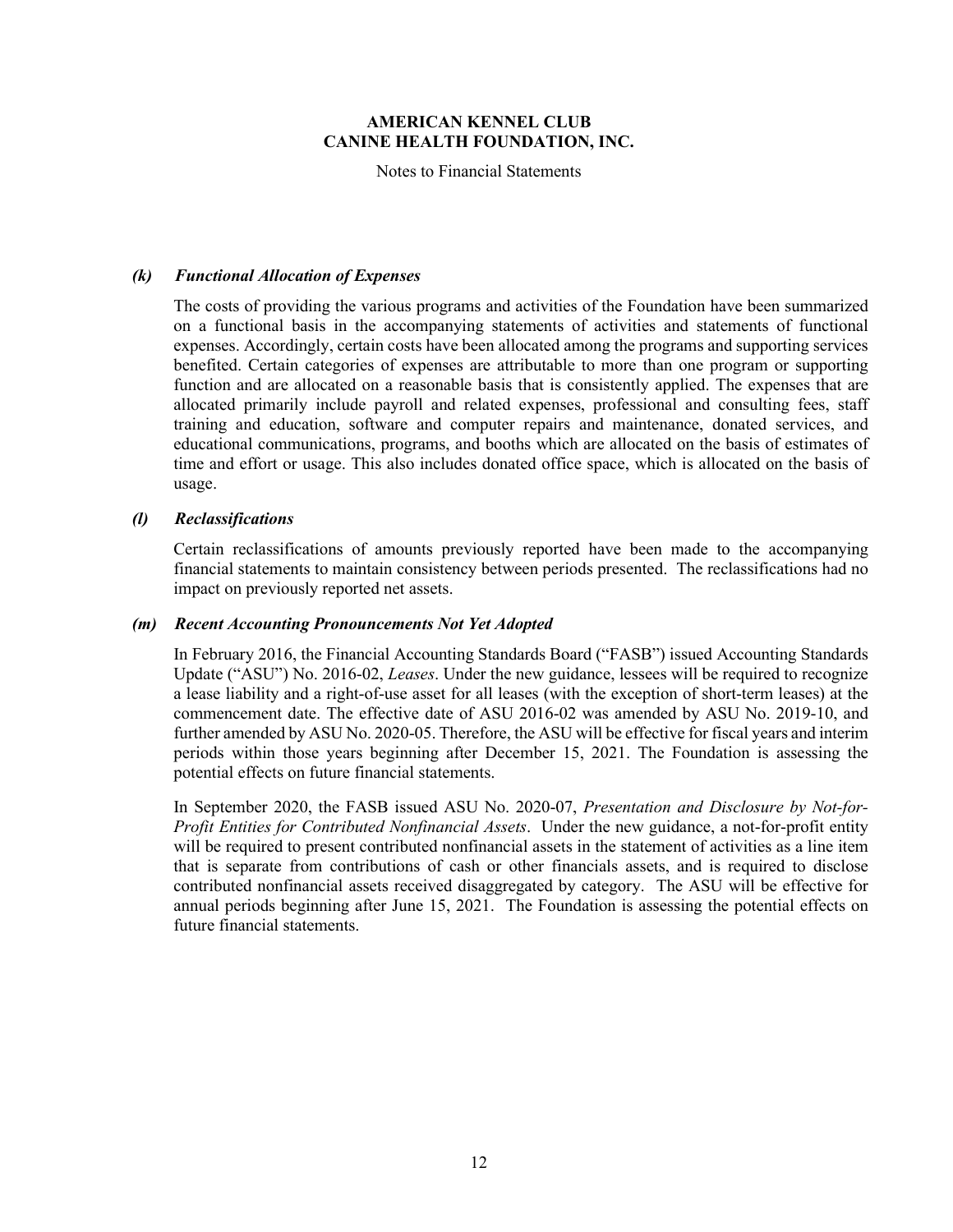Notes to Financial Statements

#### *(k) Functional Allocation of Expenses*

The costs of providing the various programs and activities of the Foundation have been summarized on a functional basis in the accompanying statements of activities and statements of functional expenses. Accordingly, certain costs have been allocated among the programs and supporting services benefited. Certain categories of expenses are attributable to more than one program or supporting function and are allocated on a reasonable basis that is consistently applied. The expenses that are allocated primarily include payroll and related expenses, professional and consulting fees, staff training and education, software and computer repairs and maintenance, donated services, and educational communications, programs, and booths which are allocated on the basis of estimates of time and effort or usage. This also includes donated office space, which is allocated on the basis of usage.

#### *(l) Reclassifications*

Certain reclassifications of amounts previously reported have been made to the accompanying financial statements to maintain consistency between periods presented. The reclassifications had no impact on previously reported net assets.

#### *(m) Recent Accounting Pronouncements Not Yet Adopted*

In February 2016, the Financial Accounting Standards Board ("FASB") issued Accounting Standards Update ("ASU") No. 2016-02, *Leases*. Under the new guidance, lessees will be required to recognize a lease liability and a right-of-use asset for all leases (with the exception of short-term leases) at the commencement date. The effective date of ASU 2016-02 was amended by ASU No. 2019-10, and further amended by ASU No. 2020-05. Therefore, the ASU will be effective for fiscal years and interim periods within those years beginning after December 15, 2021. The Foundation is assessing the potential effects on future financial statements.

In September 2020, the FASB issued ASU No. 2020-07, *Presentation and Disclosure by Not-for-Profit Entities for Contributed Nonfinancial Assets*. Under the new guidance, a not-for-profit entity will be required to present contributed nonfinancial assets in the statement of activities as a line item that is separate from contributions of cash or other financials assets, and is required to disclose contributed nonfinancial assets received disaggregated by category. The ASU will be effective for annual periods beginning after June 15, 2021. The Foundation is assessing the potential effects on future financial statements.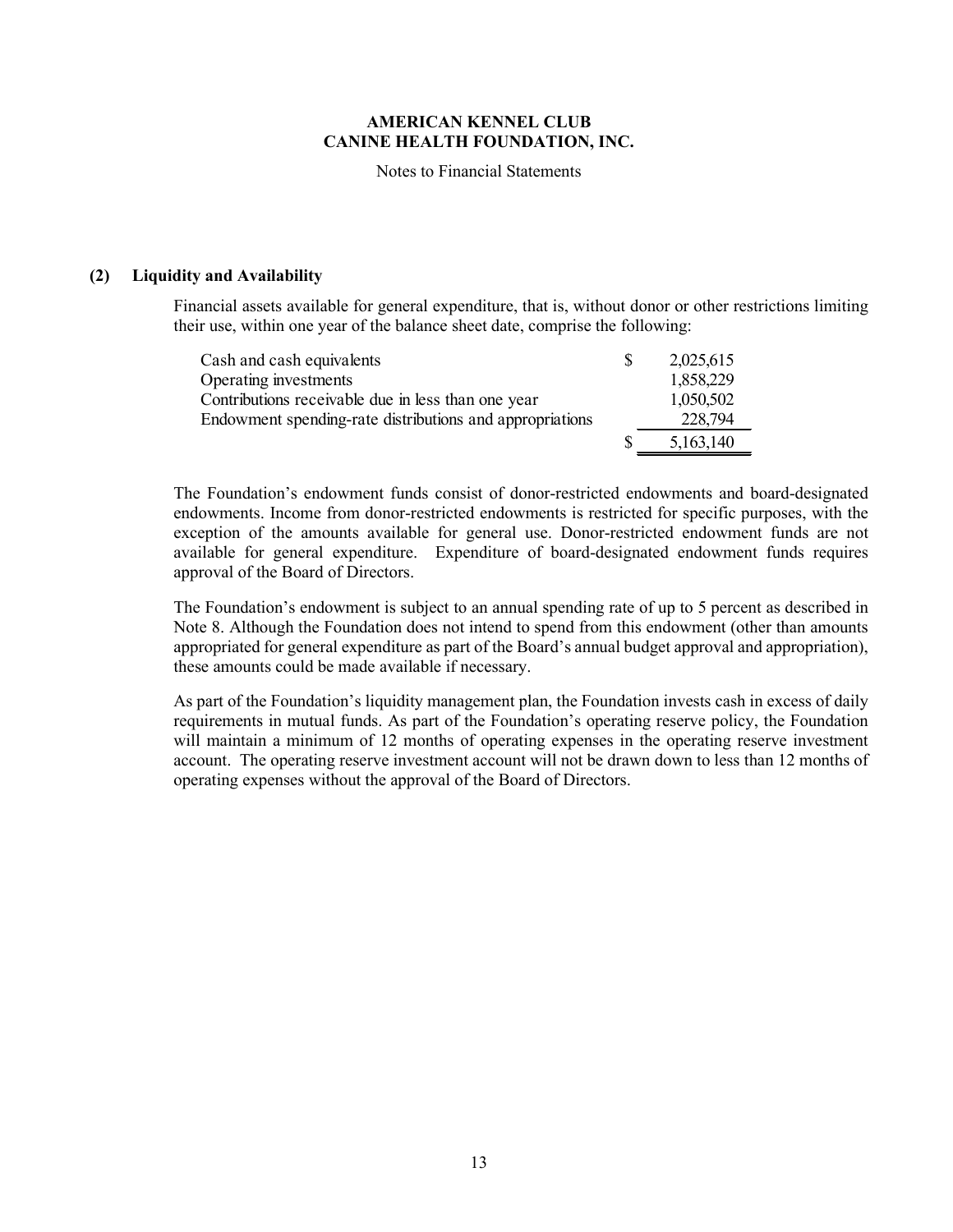Notes to Financial Statements

#### **(2) Liquidity and Availability**

Financial assets available for general expenditure, that is, without donor or other restrictions limiting their use, within one year of the balance sheet date, comprise the following:

| Cash and cash equivalents                                | 2,025,615 |
|----------------------------------------------------------|-----------|
| Operating investments                                    | 1,858,229 |
| Contributions receivable due in less than one year       | 1,050,502 |
| Endowment spending-rate distributions and appropriations | 228,794   |
|                                                          | 5,163,140 |

The Foundation's endowment funds consist of donor-restricted endowments and board-designated endowments. Income from donor-restricted endowments is restricted for specific purposes, with the exception of the amounts available for general use. Donor-restricted endowment funds are not available for general expenditure. Expenditure of board-designated endowment funds requires approval of the Board of Directors.

The Foundation's endowment is subject to an annual spending rate of up to 5 percent as described in Note 8. Although the Foundation does not intend to spend from this endowment (other than amounts appropriated for general expenditure as part of the Board's annual budget approval and appropriation), these amounts could be made available if necessary.

As part of the Foundation's liquidity management plan, the Foundation invests cash in excess of daily requirements in mutual funds. As part of the Foundation's operating reserve policy, the Foundation will maintain a minimum of 12 months of operating expenses in the operating reserve investment account. The operating reserve investment account will not be drawn down to less than 12 months of operating expenses without the approval of the Board of Directors.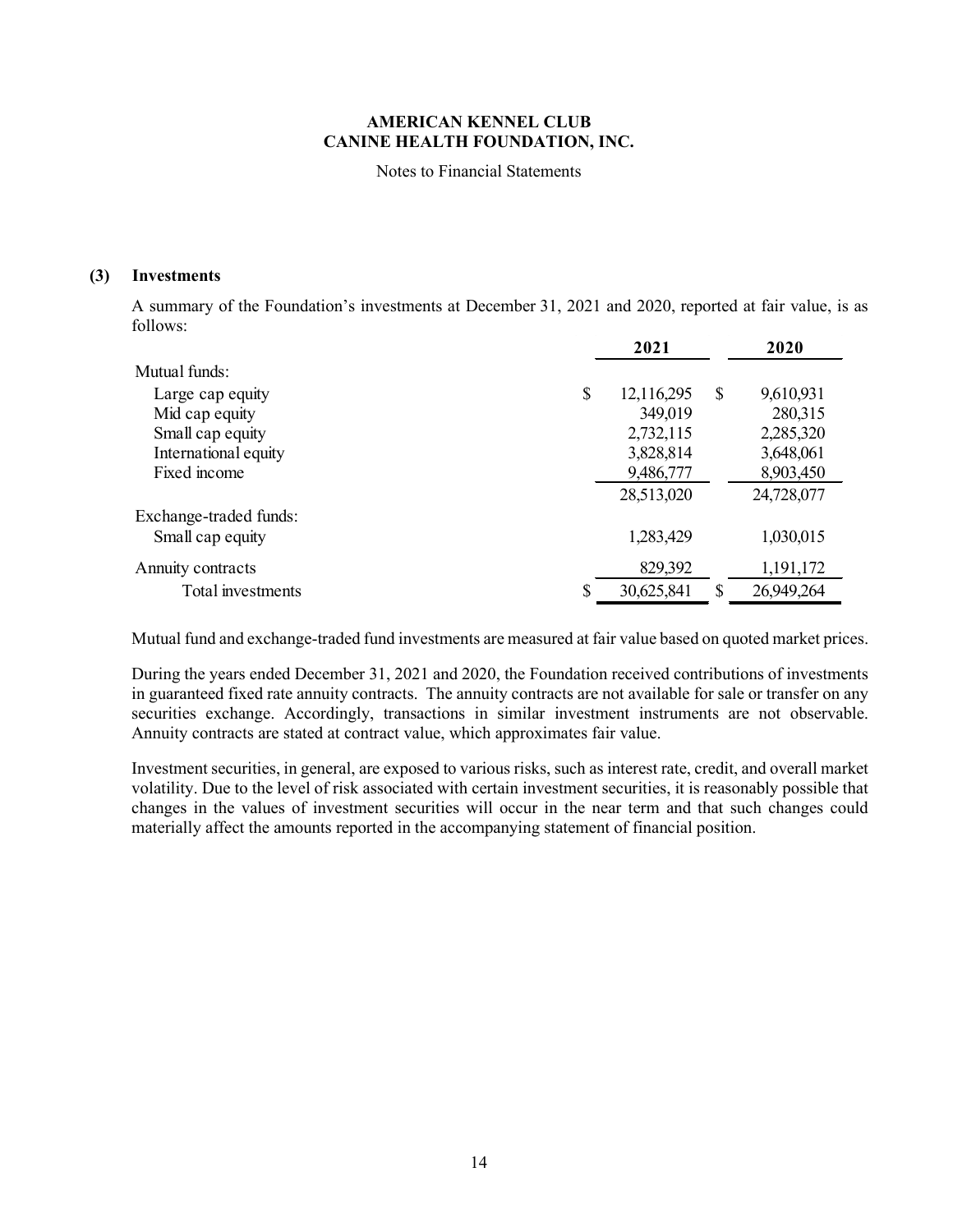Notes to Financial Statements

#### **(3) Investments**

A summary of the Foundation's investments at December 31, 2021 and 2020, reported at fair value, is as follows:

|                        | 2021             | 2020            |
|------------------------|------------------|-----------------|
| Mutual funds:          |                  |                 |
| Large cap equity       | \$<br>12,116,295 | \$<br>9,610,931 |
| Mid cap equity         | 349,019          | 280,315         |
| Small cap equity       | 2,732,115        | 2,285,320       |
| International equity   | 3,828,814        | 3,648,061       |
| Fixed income           | 9,486,777        | 8,903,450       |
|                        | 28,513,020       | 24,728,077      |
| Exchange-traded funds: |                  |                 |
| Small cap equity       | 1,283,429        | 1,030,015       |
| Annuity contracts      | 829,392          | 1,191,172       |
| Total investments      | 30,625,841       | 26,949,264      |

Mutual fund and exchange-traded fund investments are measured at fair value based on quoted market prices.

During the years ended December 31, 2021 and 2020, the Foundation received contributions of investments in guaranteed fixed rate annuity contracts. The annuity contracts are not available for sale or transfer on any securities exchange. Accordingly, transactions in similar investment instruments are not observable. Annuity contracts are stated at contract value, which approximates fair value.

Investment securities, in general, are exposed to various risks, such as interest rate, credit, and overall market volatility. Due to the level of risk associated with certain investment securities, it is reasonably possible that changes in the values of investment securities will occur in the near term and that such changes could materially affect the amounts reported in the accompanying statement of financial position.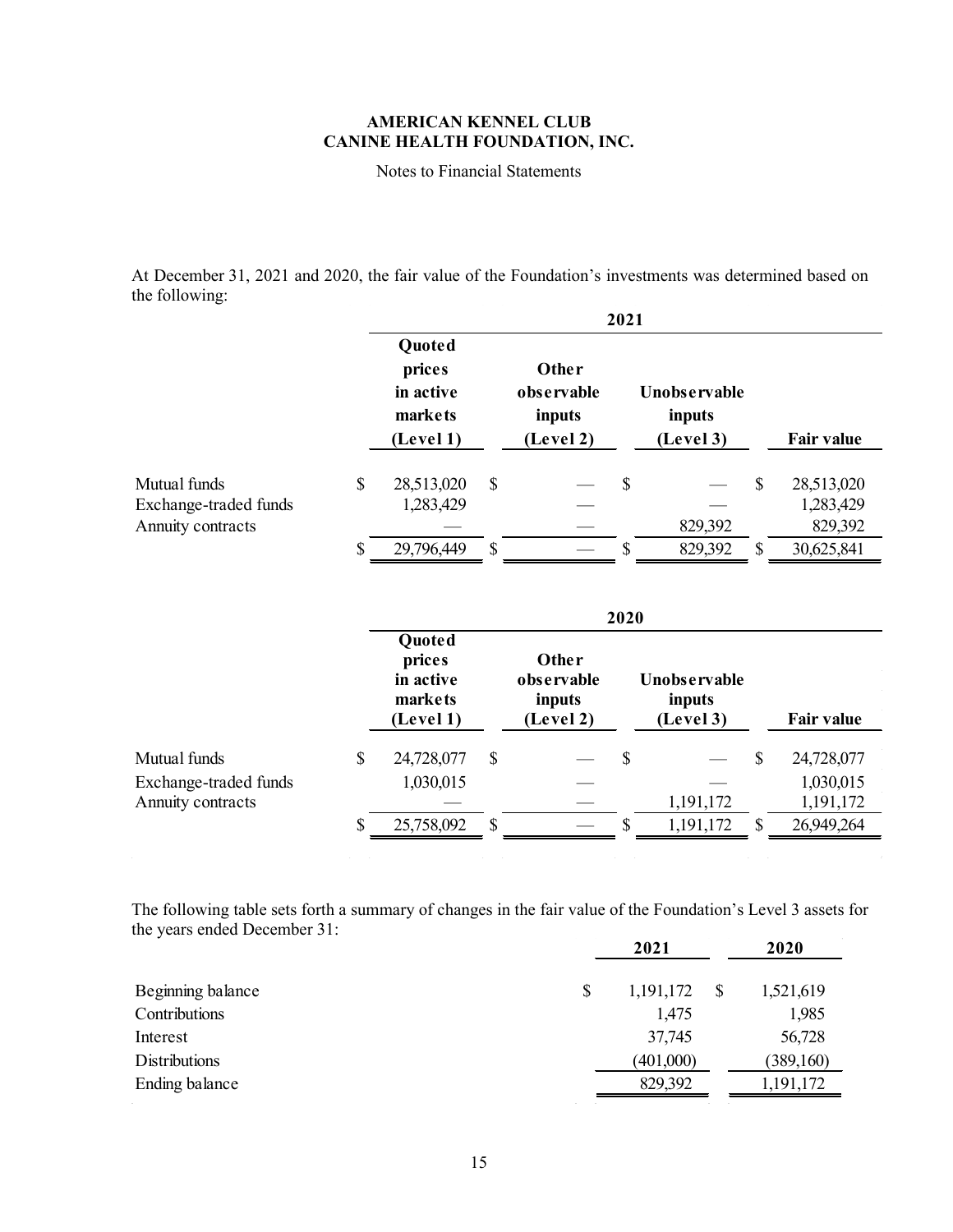Notes to Financial Statements

At December 31, 2021 and 2020, the fair value of the Foundation's investments was determined based on the following:

|                       | 2021                                                  |              |                                                   |    |                                     |               |                   |  |  |  |  |  |
|-----------------------|-------------------------------------------------------|--------------|---------------------------------------------------|----|-------------------------------------|---------------|-------------------|--|--|--|--|--|
|                       | Quoted<br>prices<br>in active<br>markets<br>(Level 1) |              | <b>Other</b><br>observable<br>inputs<br>(Level 2) |    | Unobservable<br>inputs<br>(Level 3) |               | <b>Fair value</b> |  |  |  |  |  |
| Mutual funds          | \$<br>28,513,020                                      | $\mathbb{S}$ |                                                   | \$ |                                     | $\mathcal{S}$ | 28,513,020        |  |  |  |  |  |
| Exchange-traded funds | 1,283,429                                             |              |                                                   |    |                                     |               | 1,283,429         |  |  |  |  |  |
| Annuity contracts     |                                                       |              |                                                   |    | 829,392                             |               | 829,392           |  |  |  |  |  |
|                       | \$<br>29,796,449                                      | \$           |                                                   | S  | 829,392                             | $\mathcal{S}$ | 30,625,841        |  |  |  |  |  |

|                       | 2020                                                         |    |                                            |    |                                            |                           |                   |  |  |  |  |
|-----------------------|--------------------------------------------------------------|----|--------------------------------------------|----|--------------------------------------------|---------------------------|-------------------|--|--|--|--|
|                       | <b>Quoted</b><br>prices<br>in active<br>markets<br>(Level 1) |    | Other<br>observable<br>inputs<br>(Level 2) |    | <b>Unobservable</b><br>inputs<br>(Level 3) |                           | <b>Fair value</b> |  |  |  |  |
| Mutual funds          | \$<br>24,728,077                                             | \$ |                                            | S  |                                            | $\boldsymbol{\mathsf{S}}$ | 24,728,077        |  |  |  |  |
| Exchange-traded funds | 1,030,015                                                    |    |                                            |    |                                            |                           | 1,030,015         |  |  |  |  |
| Annuity contracts     |                                                              |    |                                            |    | 1,191,172                                  |                           | 1,191,172         |  |  |  |  |
|                       | \$<br>25,758,092                                             | \$ |                                            | S. | 1,191,172                                  | -S                        | 26,949,264        |  |  |  |  |

The following table sets forth a summary of changes in the fair value of the Foundation's Level 3 assets for the years ended December 31:

 $\sim$ 

 $\mathcal{L}^{\mathcal{L}}$  and the set of the set of the set of the set of the set of the set of the set of the set of the set of the set of the set of the set of the set of the set of the set of the set of the set of the set of the

 $\sim 1$ 

| 2021            | 2020      |
|-----------------|-----------|
| \$<br>1,191,172 | 1,521,619 |
| 1,475           | 1,985     |
| 37,745          | 56,728    |
| (401,000)       | (389,160) |
| 829,392         | 1,191,172 |
|                 |           |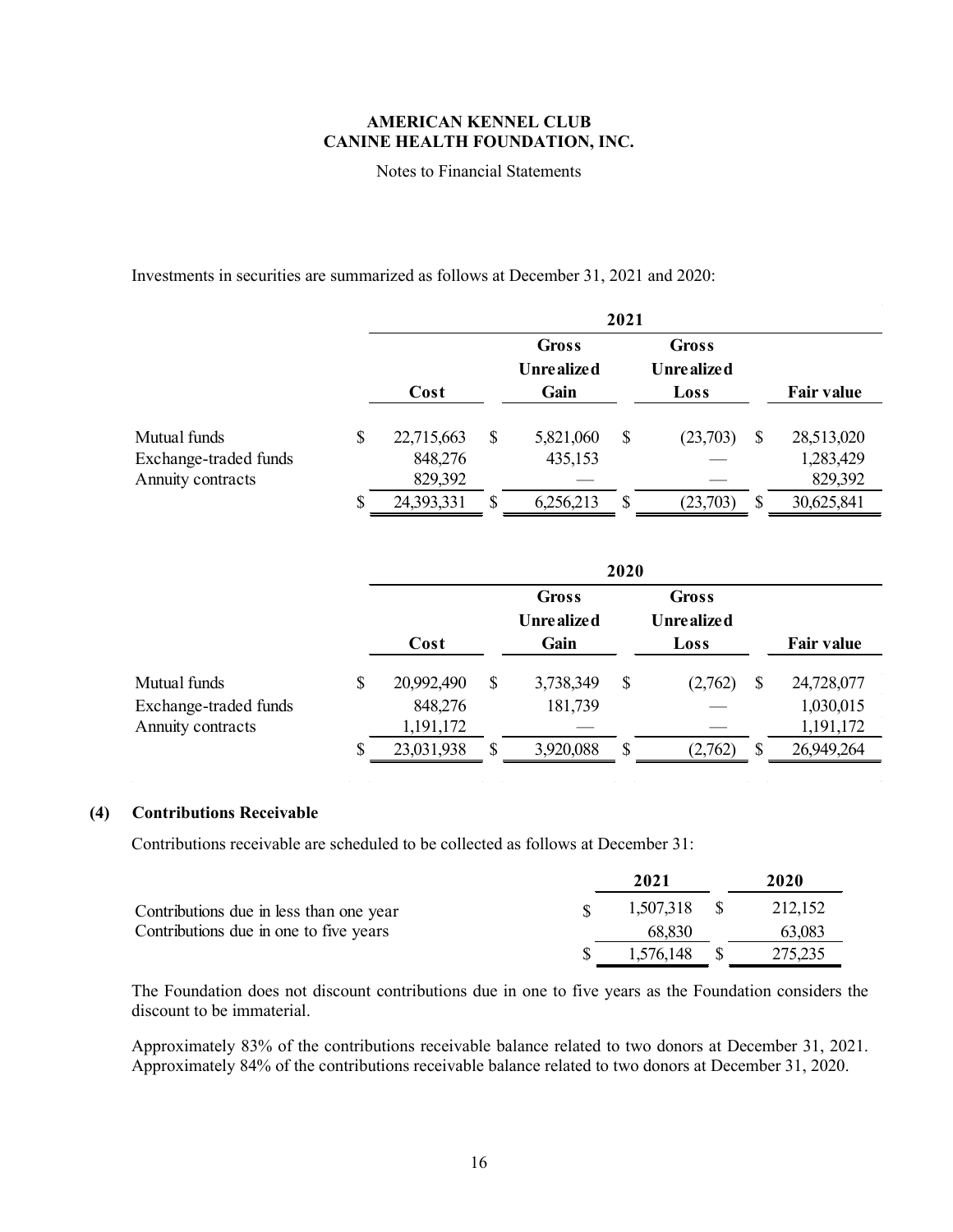Notes to Financial Statements

Investments in securities are summarized as follows at December 31, 2021 and 2020:

|                                                            | 2021                                   |    |                                      |   |                                    |   |                                    |
|------------------------------------------------------------|----------------------------------------|----|--------------------------------------|---|------------------------------------|---|------------------------------------|
|                                                            | Cost                                   |    | <b>Gross</b><br>Unre alize d<br>Gain |   | <b>Gross</b><br>Unrealized<br>Loss |   | <b>Fair value</b>                  |
| Mutual funds<br>Exchange-traded funds<br>Annuity contracts | \$<br>22,715,663<br>848,276<br>829,392 | \$ | 5,821,060<br>435,153                 | S | (23,703)                           | S | 28,513,020<br>1,283,429<br>829,392 |
|                                                            | \$<br>24,393,331                       | \$ | 6,256,213                            | S | (23,703)                           | S | 30,625,841                         |

|                       |                  |                            | 2020 |                            |          |                   |
|-----------------------|------------------|----------------------------|------|----------------------------|----------|-------------------|
|                       |                  | Gross<br><b>Unrealized</b> |      | Gross<br><b>Unrealized</b> |          |                   |
|                       | Cost             | Gain                       |      | Loss                       |          | <b>Fair value</b> |
| Mutual funds          | \$<br>20,992,490 | \$<br>3,738,349            | \$   | (2,762)                    | \$       | 24,728,077        |
| Exchange-traded funds | 848,276          | 181,739                    |      |                            |          | 1,030,015         |
| Annuity contracts     | 1,191,172        |                            |      |                            |          | 1,191,172         |
|                       | \$<br>23,031,938 | \$<br>3,920,088            | S    | (2,762)                    | <b>S</b> | 26,949,264        |

 $\sim 10^{-1}$  km

### **(4) Contributions Receivable**

Contributions receivable are scheduled to be collected as follows at December 31:

 $\sim 10^{11}$  km s  $^{-1}$ 

|                                         | 2021         | 2020    |
|-----------------------------------------|--------------|---------|
| Contributions due in less than one year | 1,507,318 \$ | 212,152 |
| Contributions due in one to five years  | 68.830       | 63,083  |
|                                         | 1,576,148    | 275,235 |

The Foundation does not discount contributions due in one to five years as the Foundation considers the discount to be immaterial.

Approximately 83% of the contributions receivable balance related to two donors at December 31, 2021. Approximately 84% of the contributions receivable balance related to two donors at December 31, 2020.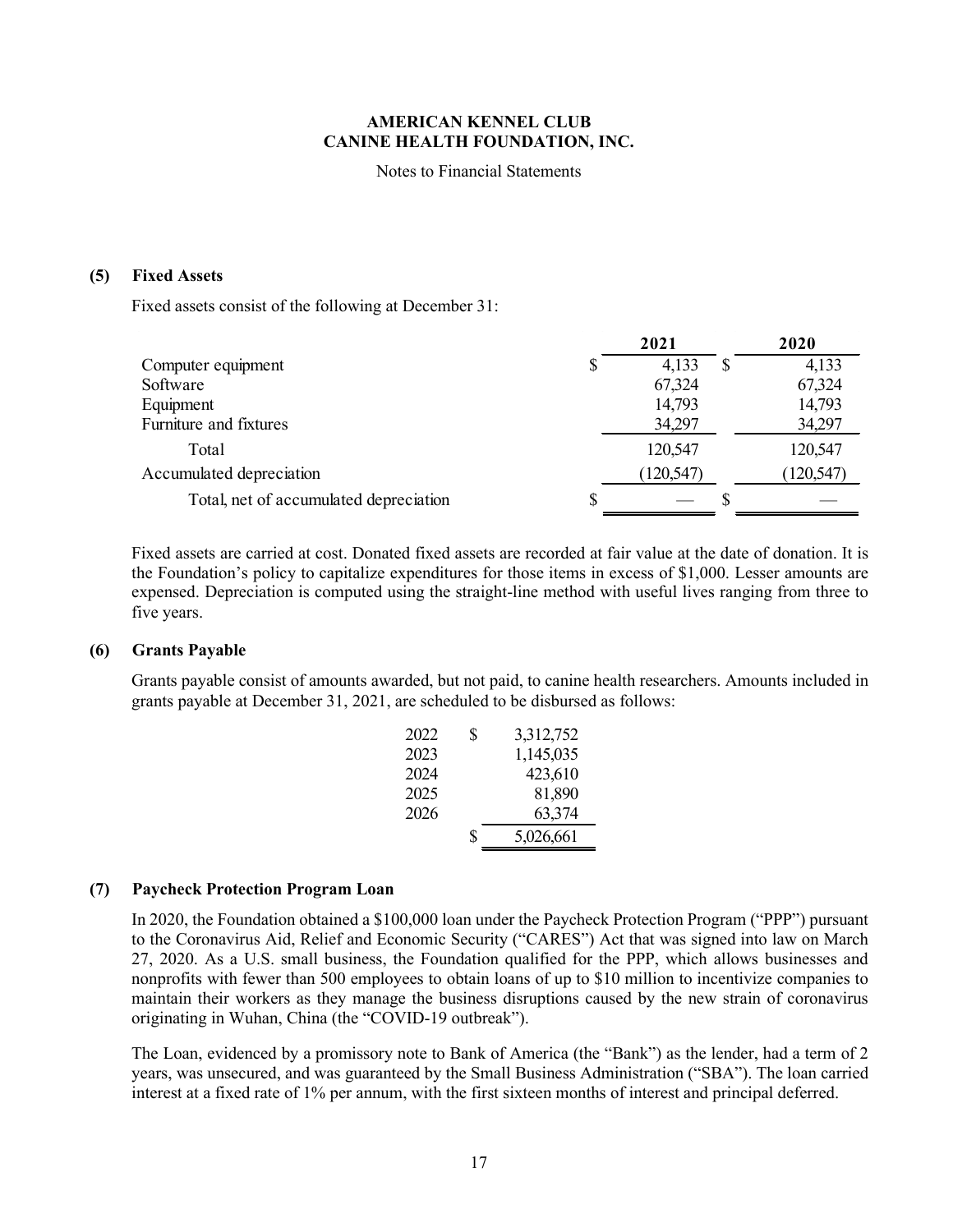Notes to Financial Statements

#### **(5) Fixed Assets**

Fixed assets consist of the following at December 31:

|                                        | 2021       | 2020       |
|----------------------------------------|------------|------------|
| Computer equipment                     | 4,133      | 4,133      |
| Software                               | 67,324     | 67,324     |
| Equipment                              | 14,793     | 14,793     |
| Furniture and fixtures                 | 34,297     | 34,297     |
| Total                                  | 120,547    | 120,547    |
| Accumulated depreciation               | (120, 547) | (120, 547) |
| Total, net of accumulated depreciation |            |            |

Fixed assets are carried at cost. Donated fixed assets are recorded at fair value at the date of donation. It is the Foundation's policy to capitalize expenditures for those items in excess of \$1,000. Lesser amounts are expensed. Depreciation is computed using the straight-line method with useful lives ranging from three to five years.

### **(6) Grants Payable**

Grants payable consist of amounts awarded, but not paid, to canine health researchers. Amounts included in grants payable at December 31, 2021, are scheduled to be disbursed as follows:

| 2022 | S | 3,312,752 |
|------|---|-----------|
| 2023 |   | 1,145,035 |
| 2024 |   | 423,610   |
| 2025 |   | 81,890    |
| 2026 |   | 63,374    |
|      | S | 5,026,661 |

#### **(7) Paycheck Protection Program Loan**

In 2020, the Foundation obtained a \$100,000 loan under the Paycheck Protection Program ("PPP") pursuant to the Coronavirus Aid, Relief and Economic Security ("CARES") Act that was signed into law on March 27, 2020. As a U.S. small business, the Foundation qualified for the PPP, which allows businesses and nonprofits with fewer than 500 employees to obtain loans of up to \$10 million to incentivize companies to maintain their workers as they manage the business disruptions caused by the new strain of coronavirus originating in Wuhan, China (the "COVID-19 outbreak").

The Loan, evidenced by a promissory note to Bank of America (the "Bank") as the lender, had a term of 2 years, was unsecured, and was guaranteed by the Small Business Administration ("SBA"). The loan carried interest at a fixed rate of 1% per annum, with the first sixteen months of interest and principal deferred.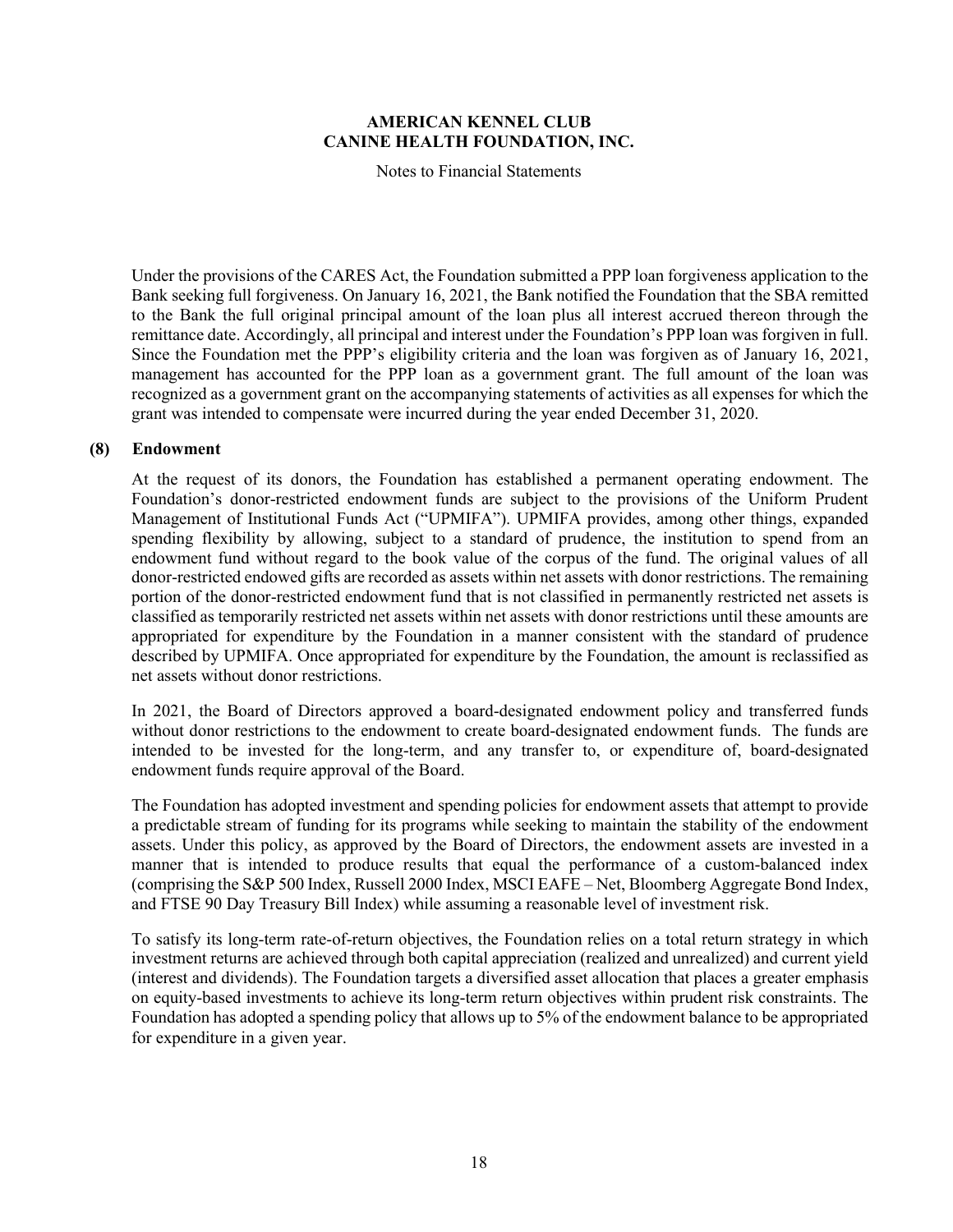Notes to Financial Statements

Under the provisions of the CARES Act, the Foundation submitted a PPP loan forgiveness application to the Bank seeking full forgiveness. On January 16, 2021, the Bank notified the Foundation that the SBA remitted to the Bank the full original principal amount of the loan plus all interest accrued thereon through the remittance date. Accordingly, all principal and interest under the Foundation's PPP loan was forgiven in full. Since the Foundation met the PPP's eligibility criteria and the loan was forgiven as of January 16, 2021, management has accounted for the PPP loan as a government grant. The full amount of the loan was recognized as a government grant on the accompanying statements of activities as all expenses for which the grant was intended to compensate were incurred during the year ended December 31, 2020.

#### **(8) Endowment**

At the request of its donors, the Foundation has established a permanent operating endowment. The Foundation's donor-restricted endowment funds are subject to the provisions of the Uniform Prudent Management of Institutional Funds Act ("UPMIFA"). UPMIFA provides, among other things, expanded spending flexibility by allowing, subject to a standard of prudence, the institution to spend from an endowment fund without regard to the book value of the corpus of the fund. The original values of all donor-restricted endowed gifts are recorded as assets within net assets with donor restrictions. The remaining portion of the donor-restricted endowment fund that is not classified in permanently restricted net assets is classified as temporarily restricted net assets within net assets with donor restrictions until these amounts are appropriated for expenditure by the Foundation in a manner consistent with the standard of prudence described by UPMIFA. Once appropriated for expenditure by the Foundation, the amount is reclassified as net assets without donor restrictions.

In 2021, the Board of Directors approved a board-designated endowment policy and transferred funds without donor restrictions to the endowment to create board-designated endowment funds. The funds are intended to be invested for the long-term, and any transfer to, or expenditure of, board-designated endowment funds require approval of the Board.

The Foundation has adopted investment and spending policies for endowment assets that attempt to provide a predictable stream of funding for its programs while seeking to maintain the stability of the endowment assets. Under this policy, as approved by the Board of Directors, the endowment assets are invested in a manner that is intended to produce results that equal the performance of a custom-balanced index (comprising the S&P 500 Index, Russell 2000 Index, MSCI EAFE – Net, Bloomberg Aggregate Bond Index, and FTSE 90 Day Treasury Bill Index) while assuming a reasonable level of investment risk.

To satisfy its long-term rate-of-return objectives, the Foundation relies on a total return strategy in which investment returns are achieved through both capital appreciation (realized and unrealized) and current yield (interest and dividends). The Foundation targets a diversified asset allocation that places a greater emphasis on equity-based investments to achieve its long-term return objectives within prudent risk constraints. The Foundation has adopted a spending policy that allows up to 5% of the endowment balance to be appropriated for expenditure in a given year.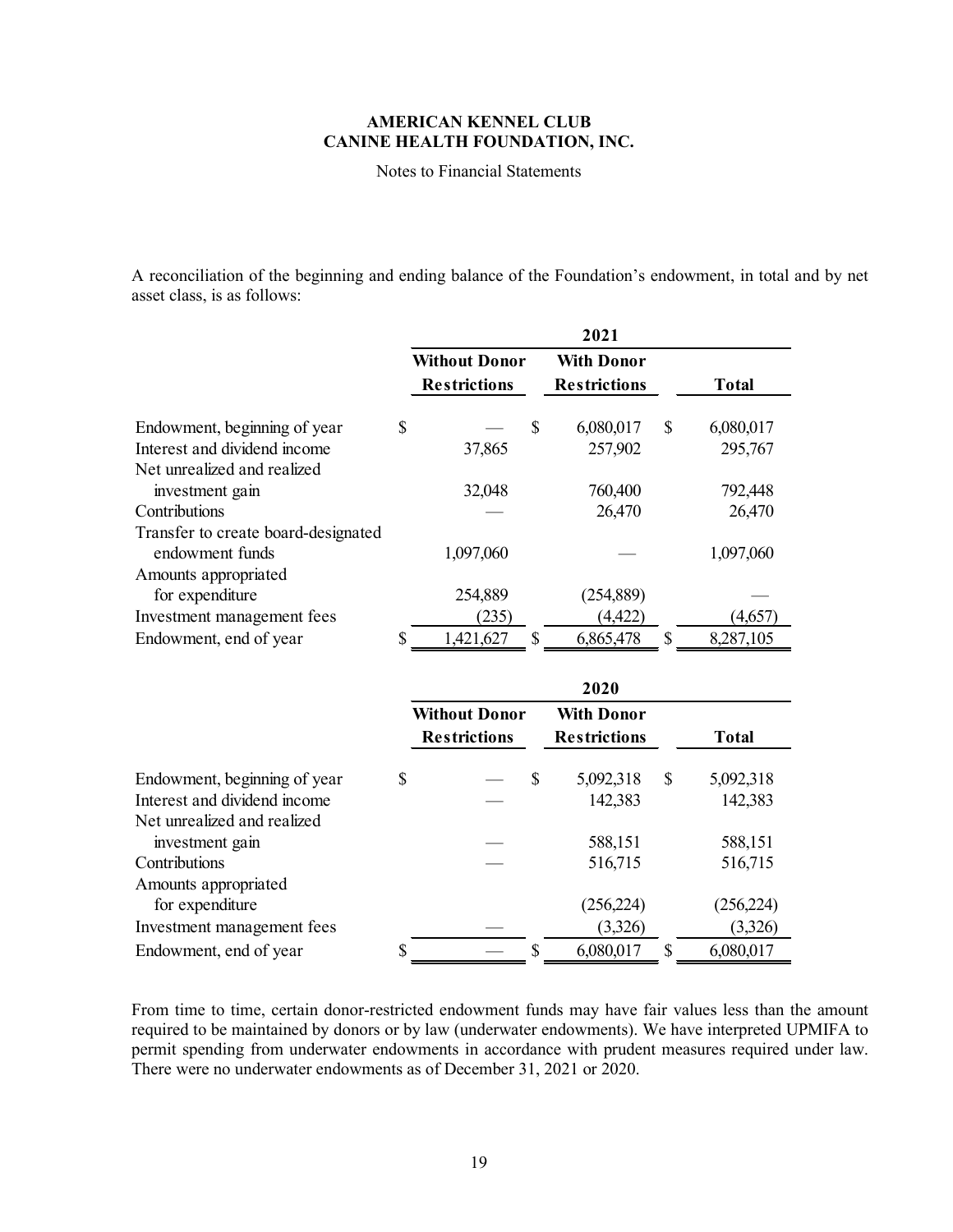Notes to Financial Statements

A reconciliation of the beginning and ending balance of the Foundation's endowment, in total and by net asset class, is as follows:

|                                     |                      | 2021                |    |              |
|-------------------------------------|----------------------|---------------------|----|--------------|
|                                     | <b>Without Donor</b> | <b>With Donor</b>   |    |              |
|                                     | <b>Restrictions</b>  | <b>Restrictions</b> |    | <b>Total</b> |
| Endowment, beginning of year        | \$<br>\$             | 6,080,017           | \$ | 6,080,017    |
| Interest and dividend income        | 37,865               | 257,902             |    | 295,767      |
| Net unrealized and realized         |                      |                     |    |              |
| investment gain                     | 32,048               | 760,400             |    | 792,448      |
| Contributions                       |                      | 26,470              |    | 26,470       |
| Transfer to create board-designated |                      |                     |    |              |
| endowment funds                     | 1,097,060            |                     |    | 1,097,060    |
| Amounts appropriated                |                      |                     |    |              |
| for expenditure                     | 254,889              | (254, 889)          |    |              |
| Investment management fees          | (235)                | (4, 422)            |    | (4,657       |
| Endowment, end of year              | \$<br>S<br>1,421,627 | 6,865,478           | \$ | 8,287,105    |

|                              |                      |    | 2020                |     |            |
|------------------------------|----------------------|----|---------------------|-----|------------|
|                              | <b>Without Donor</b> |    | <b>With Donor</b>   |     |            |
|                              | <b>Restrictions</b>  |    | <b>Restrictions</b> |     | Total      |
| Endowment, beginning of year | \$                   | \$ | 5,092,318           | \$  | 5,092,318  |
| Interest and dividend income |                      |    | 142,383             |     | 142,383    |
| Net unrealized and realized  |                      |    |                     |     |            |
| investment gain              |                      |    | 588,151             |     | 588,151    |
| Contributions                |                      |    | 516,715             |     | 516,715    |
| Amounts appropriated         |                      |    |                     |     |            |
| for expenditure              |                      |    | (256, 224)          |     | (256, 224) |
| Investment management fees   |                      |    | (3,326)             |     | (3,326)    |
| Endowment, end of year       | \$                   | S  | 6,080,017           | \$. | 6,080,017  |

From time to time, certain donor-restricted endowment funds may have fair values less than the amount required to be maintained by donors or by law (underwater endowments). We have interpreted UPMIFA to permit spending from underwater endowments in accordance with prudent measures required under law. There were no underwater endowments as of December 31, 2021 or 2020.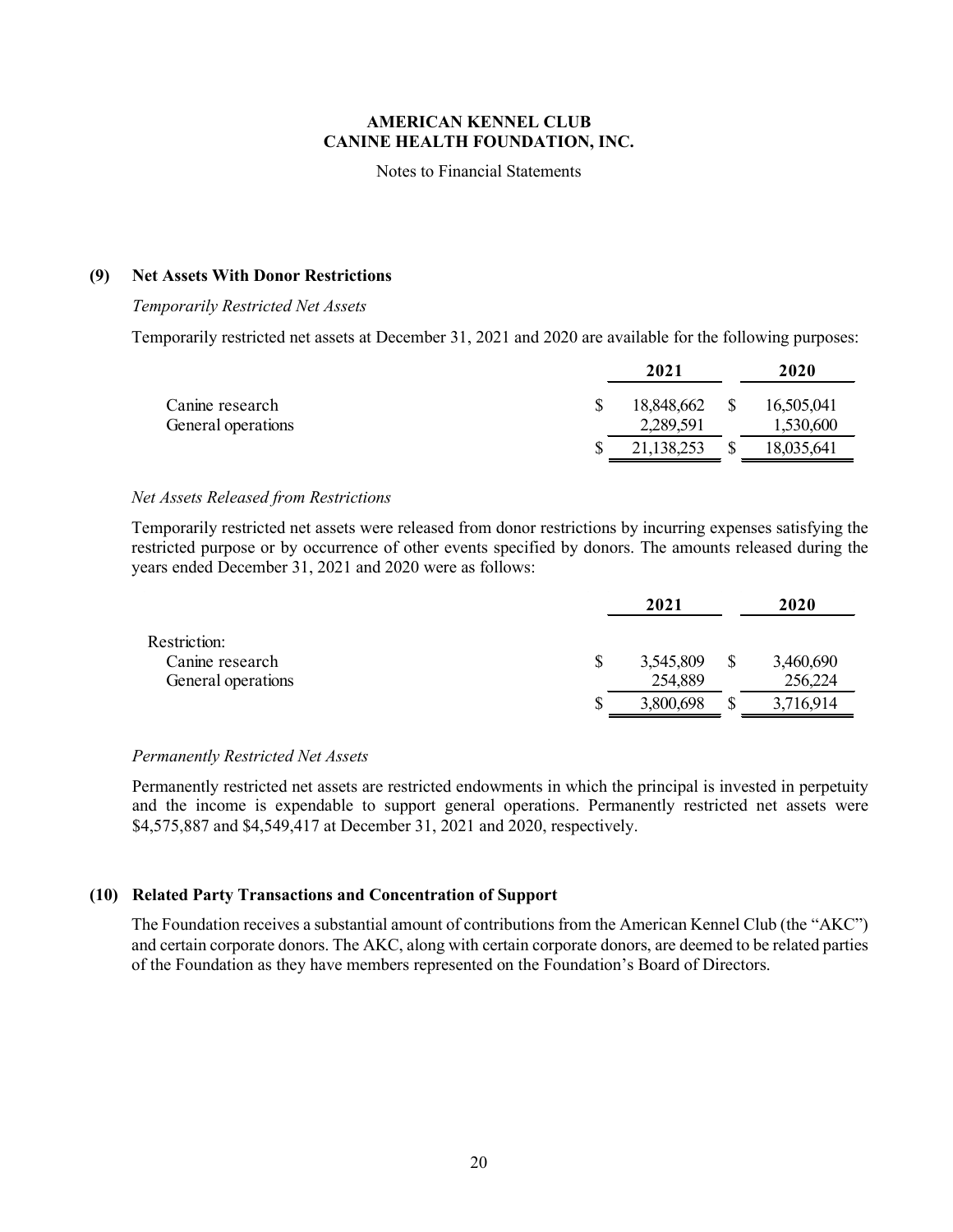Notes to Financial Statements

#### **(9) Net Assets With Donor Restrictions**

#### *Temporarily Restricted Net Assets*

Temporarily restricted net assets at December 31, 2021 and 2020 are available for the following purposes:

|                    | 2021       |    | 2020       |
|--------------------|------------|----|------------|
| Canine research    | 18,848,662 | -S | 16,505,041 |
| General operations | 2,289,591  |    | 1,530,600  |
|                    | 21,138,253 |    | 18,035,641 |

#### *Net Assets Released from Restrictions*

Temporarily restricted net assets were released from donor restrictions by incurring expenses satisfying the restricted purpose or by occurrence of other events specified by donors. The amounts released during the years ended December 31, 2021 and 2020 were as follows:

|                    |   | 2021      | 2020      |
|--------------------|---|-----------|-----------|
| Restriction:       |   |           |           |
| Canine research    |   | 3,545,809 | 3,460,690 |
| General operations |   | 254,889   | 256,224   |
|                    | S | 3,800,698 | 3,716,914 |

#### *Permanently Restricted Net Assets*

Permanently restricted net assets are restricted endowments in which the principal is invested in perpetuity and the income is expendable to support general operations. Permanently restricted net assets were \$4,575,887 and \$4,549,417 at December 31, 2021 and 2020, respectively.

### **(10) Related Party Transactions and Concentration of Support**

The Foundation receives a substantial amount of contributions from the American Kennel Club (the "AKC") and certain corporate donors. The AKC, along with certain corporate donors, are deemed to be related parties of the Foundation as they have members represented on the Foundation's Board of Directors.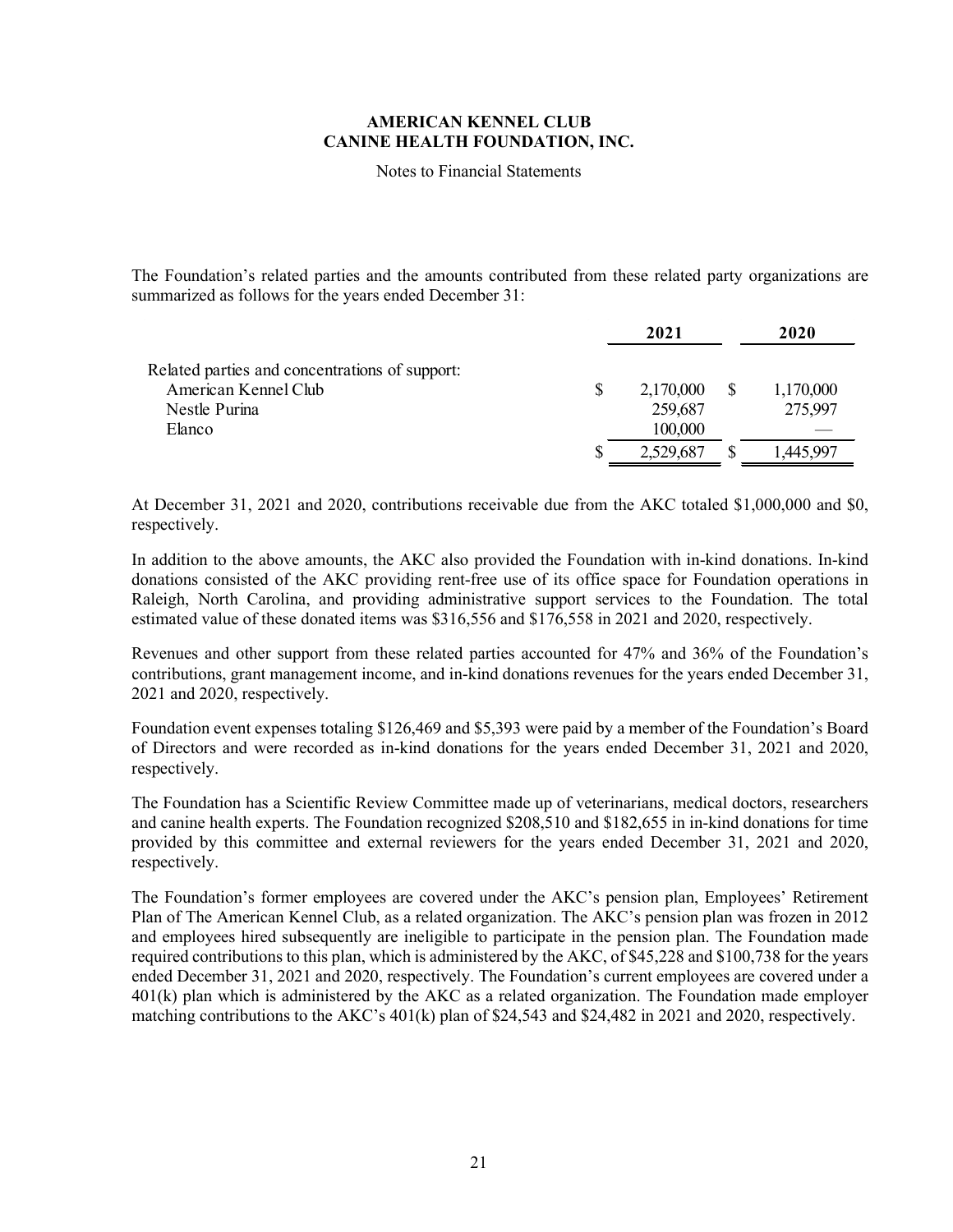Notes to Financial Statements

The Foundation's related parties and the amounts contributed from these related party organizations are summarized as follows for the years ended December 31:

|                                                | 2021      | 2020      |
|------------------------------------------------|-----------|-----------|
| Related parties and concentrations of support: |           |           |
| American Kennel Club                           | 2,170,000 | 1,170,000 |
| Nestle Purina                                  | 259,687   | 275,997   |
| Elanco                                         | 100,000   |           |
|                                                | 2,529,687 | 1,445.997 |

At December 31, 2021 and 2020, contributions receivable due from the AKC totaled \$1,000,000 and \$0, respectively.

In addition to the above amounts, the AKC also provided the Foundation with in-kind donations. In-kind donations consisted of the AKC providing rent-free use of its office space for Foundation operations in Raleigh, North Carolina, and providing administrative support services to the Foundation. The total estimated value of these donated items was \$316,556 and \$176,558 in 2021 and 2020, respectively.

Revenues and other support from these related parties accounted for 47% and 36% of the Foundation's contributions, grant management income, and in-kind donations revenues for the years ended December 31, 2021 and 2020, respectively.

Foundation event expenses totaling \$126,469 and \$5,393 were paid by a member of the Foundation's Board of Directors and were recorded as in-kind donations for the years ended December 31, 2021 and 2020, respectively.

The Foundation has a Scientific Review Committee made up of veterinarians, medical doctors, researchers and canine health experts. The Foundation recognized \$208,510 and \$182,655 in in-kind donations for time provided by this committee and external reviewers for the years ended December 31, 2021 and 2020, respectively.

The Foundation's former employees are covered under the AKC's pension plan, Employees' Retirement Plan of The American Kennel Club, as a related organization. The AKC's pension plan was frozen in 2012 and employees hired subsequently are ineligible to participate in the pension plan. The Foundation made required contributions to this plan, which is administered by the AKC, of \$45,228 and \$100,738 for the years ended December 31, 2021 and 2020, respectively. The Foundation's current employees are covered under a 401(k) plan which is administered by the AKC as a related organization. The Foundation made employer matching contributions to the AKC's 401(k) plan of \$24,543 and \$24,482 in 2021 and 2020, respectively.